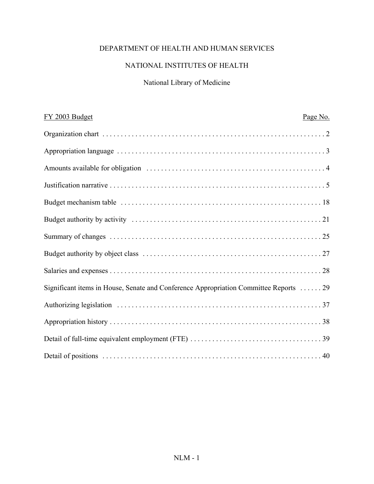# DEPARTMENT OF HEALTH AND HUMAN SERVICES

# NATIONAL INSTITUTES OF HEALTH

# National Library of Medicine

| FY 2003 Budget                                                                        | Page No. |
|---------------------------------------------------------------------------------------|----------|
|                                                                                       |          |
|                                                                                       |          |
|                                                                                       |          |
|                                                                                       |          |
|                                                                                       |          |
|                                                                                       |          |
|                                                                                       |          |
|                                                                                       |          |
|                                                                                       |          |
| Significant items in House, Senate and Conference Appropriation Committee Reports  29 |          |
|                                                                                       |          |
|                                                                                       |          |
|                                                                                       |          |
|                                                                                       |          |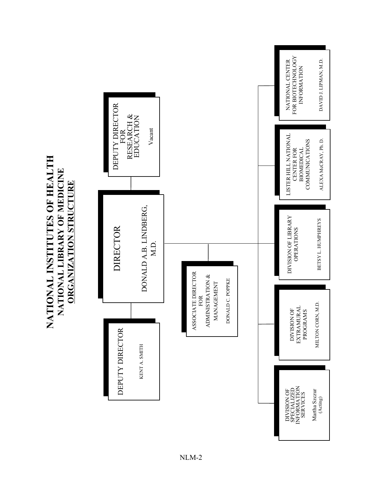NATIONAL INSTITUTES OF HEALTH **NATIONAL INSTITUTES OF HEALTH** NATIONAL LIBRARY OF MEDICINE **NATIONAL LIBRARY OF MEDICINE ORGANIZATION STRUCTURE ORGANIZATION STRUCTURE**

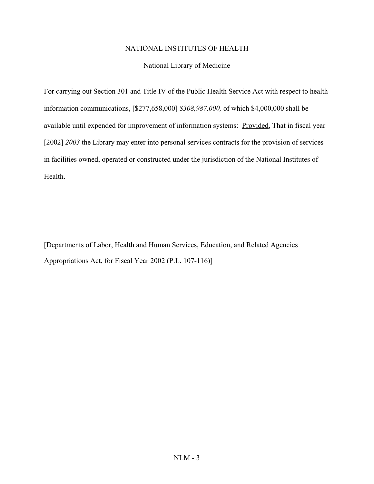#### National Library of Medicine

For carrying out Section 301 and Title IV of the Public Health Service Act with respect to health information communications, [\$277,658,000] *\$308,987,000,* of which \$4,000,000 shall be available until expended for improvement of information systems: Provided, That in fiscal year [2002] *2003* the Library may enter into personal services contracts for the provision of services in facilities owned, operated or constructed under the jurisdiction of the National Institutes of Health.

[Departments of Labor, Health and Human Services, Education, and Related Agencies Appropriations Act, for Fiscal Year 2002 (P.L. 107-116)]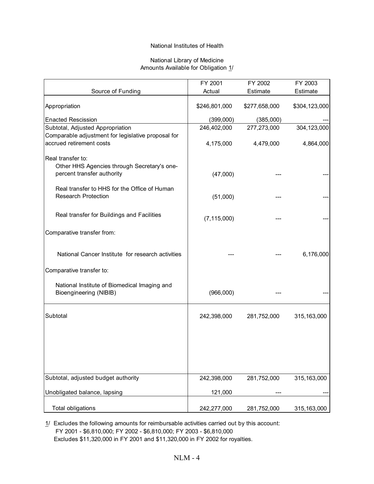#### National Library of Medicine Amounts Available for Obligation 1/

|                                                                                                | FY 2001       | FY 2002       | FY 2003       |
|------------------------------------------------------------------------------------------------|---------------|---------------|---------------|
| Source of Funding                                                                              | Actual        | Estimate      | Estimate      |
| Appropriation                                                                                  | \$246,801,000 | \$277,658,000 | \$304,123,000 |
| <b>Enacted Rescission</b>                                                                      | (399,000)     | (385,000)     |               |
| Subtotal, Adjusted Appropriation                                                               | 246,402,000   | 277,273,000   | 304,123,000   |
| Comparable adjustment for legislative proposal for<br>accrued retirement costs                 | 4,175,000     | 4,479,000     | 4,864,000     |
| Real transfer to:<br>Other HHS Agencies through Secretary's one-<br>percent transfer authority | (47,000)      |               |               |
| Real transfer to HHS for the Office of Human<br><b>Research Protection</b>                     | (51,000)      |               |               |
| Real transfer for Buildings and Facilities                                                     | (7, 115, 000) |               |               |
| Comparative transfer from:                                                                     |               |               |               |
| National Cancer Institute for research activities                                              |               |               | 6,176,000     |
| Comparative transfer to:                                                                       |               |               |               |
| National Institute of Biomedical Imaging and<br>Bioengineering (NIBIB)                         | (966,000)     |               |               |
| Subtotal                                                                                       | 242,398,000   | 281,752,000   | 315,163,000   |
|                                                                                                |               |               |               |
| Subtotal, adjusted budget authority                                                            | 242,398,000   | 281,752,000   | 315,163,000   |
| Unobligated balance, lapsing                                                                   | 121,000       |               |               |
| <b>Total obligations</b>                                                                       | 242,277,000   | 281,752,000   | 315, 163, 000 |

1/ Excludes the following amounts for reimbursable activities carried out by this account: FY 2001 - \$6,810,000; FY 2002 - \$6,810,000; FY 2003 - \$6,810,000 Excludes \$11,320,000 in FY 2001 and \$11,320,000 in FY 2002 for royalties.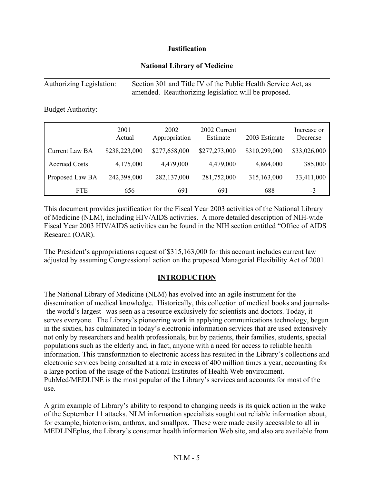## **Justification**

## **National Library of Medicine**

| Authorizing Legislation: | Section 301 and Title IV of the Public Health Service Act, as |
|--------------------------|---------------------------------------------------------------|
|                          | amended. Reauthorizing legislation will be proposed.          |

Budget Authority:

|                      | 2001<br>Actual | 2002<br>Appropriation | 2002 Current<br>Estimate | 2003 Estimate | Increase or<br>Decrease |
|----------------------|----------------|-----------------------|--------------------------|---------------|-------------------------|
| Current Law BA       | \$238,223,000  | \$277,658,000         | \$277,273,000            | \$310,299,000 | \$33,026,000            |
| <b>Accrued Costs</b> | 4,175,000      | 4,479,000             | 4,479,000                | 4,864,000     | 385,000                 |
| Proposed Law BA      | 242,398,000    | 282,137,000           | 281,752,000              | 315,163,000   | 33,411,000              |
| <b>FTE</b>           | 656            | 691                   | 691                      | 688           | -3                      |

This document provides justification for the Fiscal Year 2003 activities of the National Library of Medicine (NLM), including HIV/AIDS activities. A more detailed description of NIH-wide Fiscal Year 2003 HIV/AIDS activities can be found in the NIH section entitled "Office of AIDS" Research (OAR).

The President's appropriations request of  $$315,163,000$  for this account includes current law adjusted by assuming Congressional action on the proposed Managerial Flexibility Act of 2001.

## **INTRODUCTION**

The National Library of Medicine (NLM) has evolved into an agile instrument for the dissemination of medical knowledge. Historically, this collection of medical books and journals- -the world's largest--was seen as a resource exclusively for scientists and doctors. Today, it serves everyone. The Library's pioneering work in applying communications technology, begun in the sixties, has culminated in today's electronic information services that are used extensively not only by researchers and health professionals, but by patients, their families, students, special populations such as the elderly and, in fact, anyone with a need for access to reliable health information. This transformation to electronic access has resulted in the Library's collections and electronic services being consulted at a rate in excess of 400 million times a year, accounting for a large portion of the usage of the National Institutes of Health Web environment. PubMed/MEDLINE is the most popular of the Library's services and accounts for most of the use.

A grim example of Library's ability to respond to changing needs is its quick action in the wake of the September 11 attacks. NLM information specialists sought out reliable information about, for example, bioterrorism, anthrax, and smallpox. These were made easily accessible to all in MEDLINEplus, the Library's consumer health information Web site, and also are available from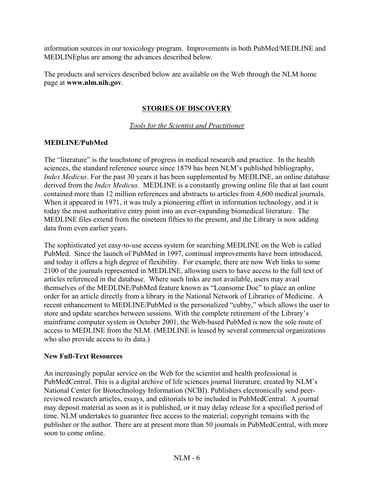information sources in our toxicology program. Improvements in both PubMed/MEDLINE and MEDLINEplus are among the advances described below.

The products and services described below are available on the Web through the NLM home page at **www.nlm.nih.gov**.

# **STORIES OF DISCOVERY**

*Tools for the Scientist and Practitioner*

## **MEDLINE/PubMed**

The "literature" is the touchstone of progress in medical research and practice. In the health sciences, the standard reference source since 1879 has been NLM's published bibliography, *Index Medicus*. For the past 30 years it has been supplemented by MEDLINE, an online database derived from the *Index Medicus*. MEDLINE is a constantly growing online file that at last count contained more than 12 million references and abstracts to articles from 4,600 medical journals. When it appeared in 1971, it was truly a pioneering effort in information technology, and it is today the most authoritative entry point into an ever-expanding biomedical literature. The MEDLINE files extend from the nineteen fifties to the present, and the Library is now adding data from even earlier years.

The sophisticated yet easy-to-use access system for searching MEDLINE on the Web is called PubMed. Since the launch of PubMed in 1997, continual improvements have been introduced, and today it offers a high degree of flexibility. For example, there are now Web links to some 2100 of the journals represented in MEDLINE, allowing users to have access to the full text of articles referenced in the database. Where such links are not available, users may avail themselves of the MEDLINE/PubMed feature known as "Loansome Doc" to place an online order for an article directly from a library in the National Network of Libraries of Medicine. A recent enhancement to MEDLINE/PubMed is the personalized "cubby," which allows the user to store and update searches between sessions. With the complete retirement of the Library's mainframe computer system in October 2001, the Web-based PubMed is now the sole route of access to MEDLINE from the NLM. (MEDLINE is leased by several commercial organizations who also provide access to its data.)

## **New Full-Text Resources**

An increasingly popular service on the Web for the scientist and health professional is PubMedCentral. This is a digital archive of life sciences journal literature, created by NLM's National Center for Biotechnology Information (NCBI). Publishers electronically send peerreviewed research articles, essays, and editorials to be included in PubMedCentral. A journal may deposit material as soon as it is published, or it may delay release for a specified period of time. NLM undertakes to guarantee free access to the material; copyright remains with the publisher or the author. There are at present more than 50 journals in PubMedCentral, with more soon to come online.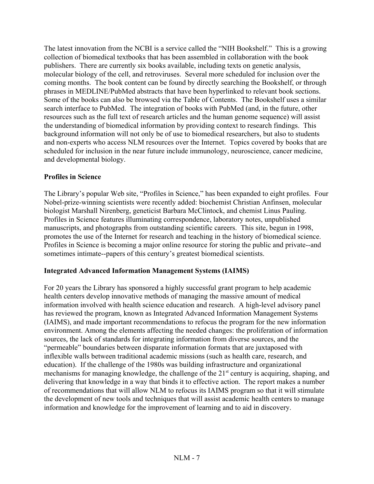The latest innovation from the NCBI is a service called the "NIH Bookshelf." This is a growing collection of biomedical textbooks that has been assembled in collaboration with the book publishers. There are currently six books available, including texts on genetic analysis, molecular biology of the cell, and retroviruses. Several more scheduled for inclusion over the coming months. The book content can be found by directly searching the Bookshelf, or through phrases in MEDLINE/PubMed abstracts that have been hyperlinked to relevant book sections. Some of the books can also be browsed via the Table of Contents. The Bookshelf uses a similar search interface to PubMed. The integration of books with PubMed (and, in the future, other resources such as the full text of research articles and the human genome sequence) will assist the understanding of biomedical information by providing context to research findings. This background information will not only be of use to biomedical researchers, but also to students and non-experts who access NLM resources over the Internet. Topics covered by books that are scheduled for inclusion in the near future include immunology, neuroscience, cancer medicine, and developmental biology.

## **Profiles in Science**

The Library's popular Web site, "Profiles in Science," has been expanded to eight profiles. Four Nobel-prize-winning scientists were recently added: biochemist Christian Anfinsen, molecular biologist Marshall Nirenberg, geneticist Barbara McClintock, and chemist Linus Pauling. Profiles in Science features illuminating correspondence, laboratory notes, unpublished manuscripts, and photographs from outstanding scientific careers. This site, begun in 1998, promotes the use of the Internet for research and teaching in the history of biomedical science. Profiles in Science is becoming a major online resource for storing the public and private--and sometimes intimate--papers of this century's greatest biomedical scientists.

# **Integrated Advanced Information Management Systems (IAIMS)**

For 20 years the Library has sponsored a highly successful grant program to help academic health centers develop innovative methods of managing the massive amount of medical information involved with health science education and research. A high-level advisory panel has reviewed the program, known as Integrated Advanced Information Management Systems (IAIMS), and made important recommendations to refocus the program for the new information environment. Among the elements affecting the needed changes: the proliferation of information sources, the lack of standards for integrating information from diverse sources, and the "permeable" boundaries between disparate information formats that are juxtaposed with inflexible walls between traditional academic missions (such as health care, research, and education). If the challenge of the 1980s was building infrastructure and organizational mechanisms for managing knowledge, the challenge of the 21<sup>st</sup> century is acquiring, shaping, and delivering that knowledge in a way that binds it to effective action. The report makes a number of recommendations that will allow NLM to refocus its IAIMS program so that it will stimulate the development of new tools and techniques that will assist academic health centers to manage information and knowledge for the improvement of learning and to aid in discovery.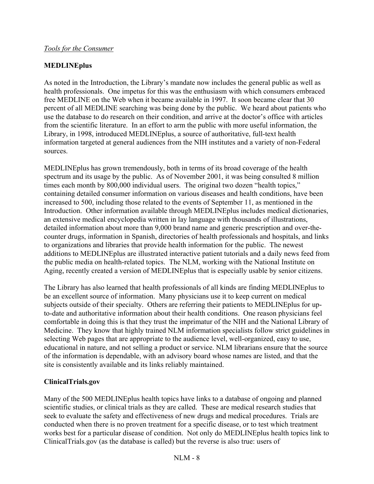# **MEDLINEplus**

As noted in the Introduction, the Library's mandate now includes the general public as well as health professionals. One impetus for this was the enthusiasm with which consumers embraced free MEDLINE on the Web when it became available in 1997. It soon became clear that 30 percent of all MEDLINE searching was being done by the public. We heard about patients who use the database to do research on their condition, and arrive at the doctor's office with articles from the scientific literature. In an effort to arm the public with more useful information, the Library, in 1998, introduced MEDLINEplus, a source of authoritative, full-text health information targeted at general audiences from the NIH institutes and a variety of non-Federal sources.

MEDLINEplus has grown tremendously, both in terms of its broad coverage of the health spectrum and its usage by the public. As of November 2001, it was being consulted 8 million times each month by 800,000 individual users. The original two dozen "health topics," containing detailed consumer information on various diseases and health conditions, have been increased to 500, including those related to the events of September 11, as mentioned in the Introduction. Other information available through MEDLINEplus includes medical dictionaries, an extensive medical encyclopedia written in lay language with thousands of illustrations, detailed information about more than 9,000 brand name and generic prescription and over-thecounter drugs, information in Spanish, directories of health professionals and hospitals, and links to organizations and libraries that provide health information for the public. The newest additions to MEDLINEplus are illustrated interactive patient tutorials and a daily news feed from the public media on health-related topics. The NLM, working with the National Institute on Aging, recently created a version of MEDLINEplus that is especially usable by senior citizens.

The Library has also learned that health professionals of all kinds are finding MEDLINEplus to be an excellent source of information. Many physicians use it to keep current on medical subjects outside of their specialty. Others are referring their patients to MEDLINEplus for upto-date and authoritative information about their health conditions. One reason physicians feel comfortable in doing this is that they trust the imprimatur of the NIH and the National Library of Medicine. They know that highly trained NLM information specialists follow strict guidelines in selecting Web pages that are appropriate to the audience level, well-organized, easy to use, educational in nature, and not selling a product or service. NLM librarians ensure that the source of the information is dependable, with an advisory board whose names are listed, and that the site is consistently available and its links reliably maintained.

# **ClinicalTrials.gov**

Many of the 500 MEDLINEplus health topics have links to a database of ongoing and planned scientific studies, or clinical trials as they are called. These are medical research studies that seek to evaluate the safety and effectiveness of new drugs and medical procedures. Trials are conducted when there is no proven treatment for a specific disease, or to test which treatment works best for a particular disease of condition. Not only do MEDLINEplus health topics link to ClinicalTrials.gov (as the database is called) but the reverse is also true: users of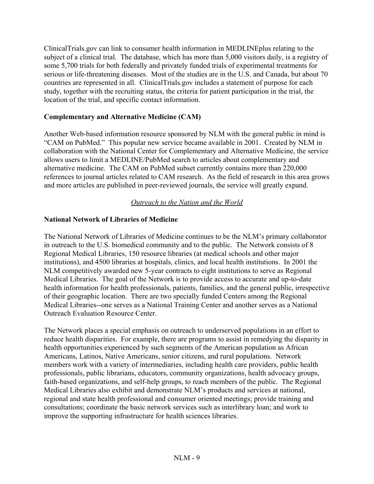ClinicalTrials.gov can link to consumer health information in MEDLINEplus relating to the subject of a clinical trial. The database, which has more than 5,000 visitors daily, is a registry of some 5,700 trials for both federally and privately funded trials of experimental treatments for serious or life-threatening diseases. Most of the studies are in the U.S. and Canada, but about 70 countries are represented in all. ClinicalTrials.gov includes a statement of purpose for each study, together with the recruiting status, the criteria for patient participation in the trial, the location of the trial, and specific contact information.

## **Complementary and Alternative Medicine (CAM)**

Another Web-based information resource sponsored by NLM with the general public in mind is ìCAM on PubMed.î This popular new service became available in 2001. Created by NLM in collaboration with the National Center for Complementary and Alternative Medicine, the service allows users to limit a MEDLINE/PubMed search to articles about complementary and alternative medicine. The CAM on PubMed subset currently contains more than 220,000 references to journal articles related to CAM research. As the field of research in this area grows and more articles are published in peer-reviewed journals, the service will greatly expand.

## *Outreach to the Nation and the World*

## **National Network of Libraries of Medicine**

The National Network of Libraries of Medicine continues to be the NLM's primary collaborator in outreach to the U.S. biomedical community and to the public. The Network consists of 8 Regional Medical Libraries, 150 resource libraries (at medical schools and other major institutions), and 4500 libraries at hospitals, clinics, and local health institutions. In 2001 the NLM competitively awarded new 5-year contracts to eight institutions to serve as Regional Medical Libraries. The goal of the Network is to provide access to accurate and up-to-date health information for health professionals, patients, families, and the general public, irrespective of their geographic location. There are two specially funded Centers among the Regional Medical Libraries--one serves as a National Training Center and another serves as a National Outreach Evaluation Resource Center.

The Network places a special emphasis on outreach to underserved populations in an effort to reduce health disparities. For example, there are programs to assist in remedying the disparity in health opportunities experienced by such segments of the American population as African Americans, Latinos, Native Americans, senior citizens, and rural populations. Network members work with a variety of intermediaries, including health care providers, public health professionals, public librarians, educators, community organizations, health advocacy groups, faith-based organizations, and self-help groups, to reach members of the public. The Regional Medical Libraries also exhibit and demonstrate NLM's products and services at national, regional and state health professional and consumer oriented meetings; provide training and consultations; coordinate the basic network services such as interlibrary loan; and work to improve the supporting infrastructure for health sciences libraries.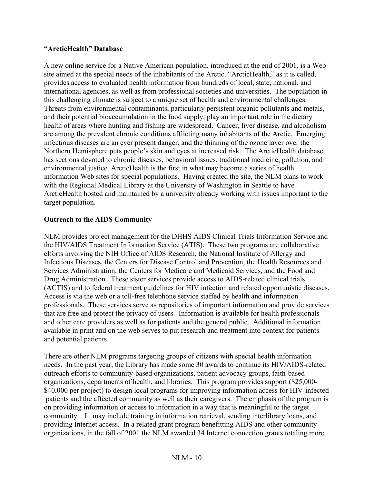## *<u><b>"ArcticHealth"* Database</u>

A new online service for a Native American population, introduced at the end of 2001, is a Web site aimed at the special needs of the inhabitants of the Arctic. "ArcticHealth," as it is called, provides access to evaluated health information from hundreds of local, state, national, and international agencies, as well as from professional societies and universities. The population in this challenging climate is subject to a unique set of health and environmental challenges. Threats from environmental contaminants, particularly persistent organic pollutants and metals, and their potential bioaccumulation in the food supply, play an important role in the dietary health of areas where hunting and fishing are widespread. Cancer, liver disease, and alcoholism are among the prevalent chronic conditions afflicting many inhabitants of the Arctic. Emerging infectious diseases are an ever present danger, and the thinning of the ozone layer over the Northern Hemisphere puts people's skin and eyes at increased risk. The ArcticHealth database has sections devoted to chronic diseases, behavioral issues, traditional medicine, pollution, and environmental justice. ArcticHealth is the first in what may become a series of health information Web sites for special populations. Having created the site, the NLM plans to work with the Regional Medical Library at the University of Washington in Seattle to have ArcticHealth hosted and maintained by a university already working with issues important to the target population.

## **Outreach to the AIDS Community**

NLM provides project management for the DHHS AIDS Clinical Trials Information Service and the HIV/AIDS Treatment Information Service (ATIS). These two programs are collaborative efforts involving the NIH Office of AIDS Research, the National Institute of Allergy and Infectious Diseases, the Centers for Disease Control and Prevention, the Health Resources and Services Administration, the Centers for Medicare and Medicaid Services, and the Food and Drug Administration. These sister services provide access to AIDS-related clinical trials (ACTIS) and to federal treatment guidelines for HIV infection and related opportunistic diseases. Access is via the web or a toll-free telephone service staffed by health and information professionals. These services serve as repositories of important information and provide services that are free and protect the privacy of users. Information is available for health professionals and other care providers as well as for patients and the general public. Additional information available in print and on the web serves to put research and treatment into context for patients and potential patients.

There are other NLM programs targeting groups of citizens with special health information needs. In the past year, the Library has made some 30 awards to continue its HIV/AIDS-related outreach efforts to community-based organizations, patient advocacy groups, faith-based organizations, departments of health, and libraries. This program provides support (\$25,000- \$40,000 per project) to design local programs for improving information access for HIV-infected patients and the affected community as well as their caregivers. The emphasis of the program is on providing information or access to information in a way that is meaningful to the target community. It may include training in information retrieval, sending interlibrary loans, and providing Internet access. In a related grant program benefitting AIDS and other community organizations, in the fall of 2001 the NLM awarded 34 Internet connection grants totaling more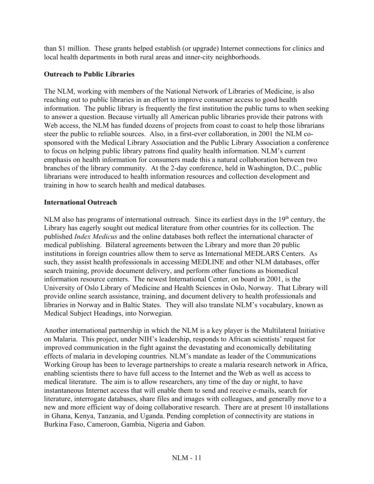than \$1 million. These grants helped establish (or upgrade) Internet connections for clinics and local health departments in both rural areas and inner-city neighborhoods.

# **Outreach to Public Libraries**

The NLM, working with members of the National Network of Libraries of Medicine, is also reaching out to public libraries in an effort to improve consumer access to good health information. The public library is frequently the first institution the public turns to when seeking to answer a question. Because virtually all American public libraries provide their patrons with Web access, the NLM has funded dozens of projects from coast to coast to help those librarians steer the public to reliable sources. Also, in a first-ever collaboration, in 2001 the NLM cosponsored with the Medical Library Association and the Public Library Association a conference to focus on helping public library patrons find quality health information. NLM's current emphasis on health information for consumers made this a natural collaboration between two branches of the library community. At the 2-day conference, held in Washington, D.C., public librarians were introduced to health information resources and collection development and training in how to search health and medical databases.

## **International Outreach**

NLM also has programs of international outreach. Since its earliest days in the  $19<sup>th</sup>$  century, the Library has eagerly sought out medical literature from other countries for its collection. The published *Index Medicus* and the online databases both reflect the international character of medical publishing. Bilateral agreements between the Library and more than 20 public institutions in foreign countries allow them to serve as International MEDLARS Centers. As such, they assist health professionals in accessing MEDLINE and other NLM databases, offer search training, provide document delivery, and perform other functions as biomedical information resource centers. The newest International Center, on board in 2001, is the University of Oslo Library of Medicine and Health Sciences in Oslo, Norway. That Library will provide online search assistance, training, and document delivery to health professionals and libraries in Norway and in Baltic States. They will also translate NLM's vocabulary, known as Medical Subject Headings, into Norwegian.

Another international partnership in which the NLM is a key player is the Multilateral Initiative on Malaria. This project, under NIH's leadership, responds to African scientists' request for improved communication in the fight against the devastating and economically debilitating effects of malaria in developing countries. NLM's mandate as leader of the Communications Working Group has been to leverage partnerships to create a malaria research network in Africa, enabling scientists there to have full access to the Internet and the Web as well as access to medical literature. The aim is to allow researchers, any time of the day or night, to have instantaneous Internet access that will enable them to send and receive e-mails, search for literature, interrogate databases, share files and images with colleagues, and generally move to a new and more efficient way of doing collaborative research. There are at present 10 installations in Ghana, Kenya, Tanzania, and Uganda. Pending completion of connectivity are stations in Burkina Faso, Cameroon, Gambia, Nigeria and Gabon.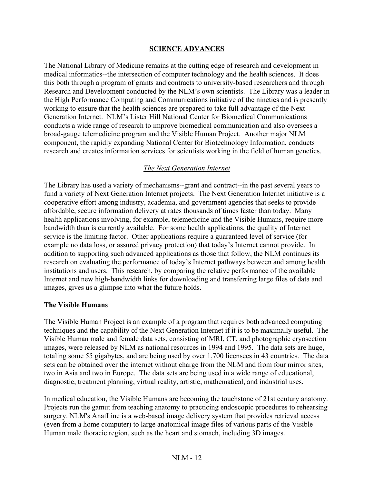## **SCIENCE ADVANCES**

The National Library of Medicine remains at the cutting edge of research and development in medical informatics--the intersection of computer technology and the health sciences. It does this both through a program of grants and contracts to university-based researchers and through Research and Development conducted by the NLM's own scientists. The Library was a leader in the High Performance Computing and Communications initiative of the nineties and is presently working to ensure that the health sciences are prepared to take full advantage of the Next Generation Internet. NLM's Lister Hill National Center for Biomedical Communications conducts a wide range of research to improve biomedical communication and also oversees a broad-gauge telemedicine program and the Visible Human Project. Another major NLM component, the rapidly expanding National Center for Biotechnology Information, conducts research and creates information services for scientists working in the field of human genetics.

## *The Next Generation Internet*

The Library has used a variety of mechanisms--grant and contract--in the past several years to fund a variety of Next Generation Internet projects. The Next Generation Internet initiative is a cooperative effort among industry, academia, and government agencies that seeks to provide affordable, secure information delivery at rates thousands of times faster than today. Many health applications involving, for example, telemedicine and the Visible Humans, require more bandwidth than is currently available. For some health applications, the quality of Internet service is the limiting factor. Other applications require a guaranteed level of service (for example no data loss, or assured privacy protection) that today's Internet cannot provide. In addition to supporting such advanced applications as those that follow, the NLM continues its research on evaluating the performance of today's Internet pathways between and among health institutions and users. This research, by comparing the relative performance of the available Internet and new high-bandwidth links for downloading and transferring large files of data and images, gives us a glimpse into what the future holds.

#### **The Visible Humans**

The Visible Human Project is an example of a program that requires both advanced computing techniques and the capability of the Next Generation Internet if it is to be maximally useful. The Visible Human male and female data sets, consisting of MRI, CT, and photographic cryosection images, were released by NLM as national resources in 1994 and 1995. The data sets are huge, totaling some 55 gigabytes, and are being used by over 1,700 licensees in 43 countries. The data sets can be obtained over the internet without charge from the NLM and from four mirror sites, two in Asia and two in Europe. The data sets are being used in a wide range of educational, diagnostic, treatment planning, virtual reality, artistic, mathematical, and industrial uses.

In medical education, the Visible Humans are becoming the touchstone of 21st century anatomy. Projects run the gamut from teaching anatomy to practicing endoscopic procedures to rehearsing surgery. NLM's AnatLine is a web-based image delivery system that provides retrieval access (even from a home computer) to large anatomical image files of various parts of the Visible Human male thoracic region, such as the heart and stomach, including 3D images.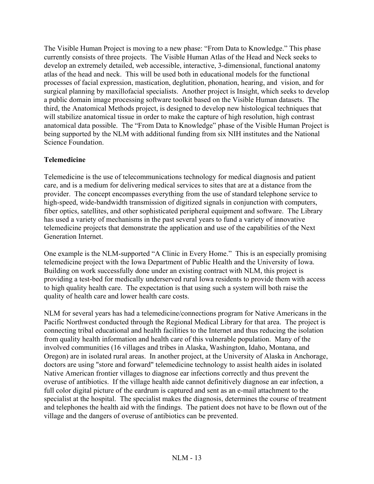The Visible Human Project is moving to a new phase: "From Data to Knowledge." This phase currently consists of three projects. The Visible Human Atlas of the Head and Neck seeks to develop an extremely detailed, web accessible, interactive, 3-dimensional, functional anatomy atlas of the head and neck. This will be used both in educational models for the functional processes of facial expression, mastication, deglutition, phonation, hearing, and vision, and for surgical planning by maxillofacial specialists. Another project is Insight, which seeks to develop a public domain image processing software toolkit based on the Visible Human datasets. The third, the Anatomical Methods project, is designed to develop new histological techniques that will stabilize anatomical tissue in order to make the capture of high resolution, high contrast anatomical data possible. The "From Data to Knowledge" phase of the Visible Human Project is being supported by the NLM with additional funding from six NIH institutes and the National Science Foundation.

## **Telemedicine**

Telemedicine is the use of telecommunications technology for medical diagnosis and patient care, and is a medium for delivering medical services to sites that are at a distance from the provider. The concept encompasses everything from the use of standard telephone service to high-speed, wide-bandwidth transmission of digitized signals in conjunction with computers, fiber optics, satellites, and other sophisticated peripheral equipment and software. The Library has used a variety of mechanisms in the past several years to fund a variety of innovative telemedicine projects that demonstrate the application and use of the capabilities of the Next Generation Internet.

One example is the NLM-supported "A Clinic in Every Home." This is an especially promising telemedicine project with the Iowa Department of Public Health and the University of Iowa. Building on work successfully done under an existing contract with NLM, this project is providing a test-bed for medically underserved rural Iowa residents to provide them with access to high quality health care. The expectation is that using such a system will both raise the quality of health care and lower health care costs.

NLM for several years has had a telemedicine/connections program for Native Americans in the Pacific Northwest conducted through the Regional Medical Library for that area. The project is connecting tribal educational and health facilities to the Internet and thus reducing the isolation from quality health information and health care of this vulnerable population. Many of the involved communities (16 villages and tribes in Alaska, Washington, Idaho, Montana, and Oregon) are in isolated rural areas. In another project, at the University of Alaska in Anchorage, doctors are using "store and forward" telemedicine technology to assist health aides in isolated Native American frontier villages to diagnose ear infections correctly and thus prevent the overuse of antibiotics. If the village health aide cannot definitively diagnose an ear infection, a full color digital picture of the eardrum is captured and sent as an e-mail attachment to the specialist at the hospital. The specialist makes the diagnosis, determines the course of treatment and telephones the health aid with the findings. The patient does not have to be flown out of the village and the dangers of overuse of antibiotics can be prevented.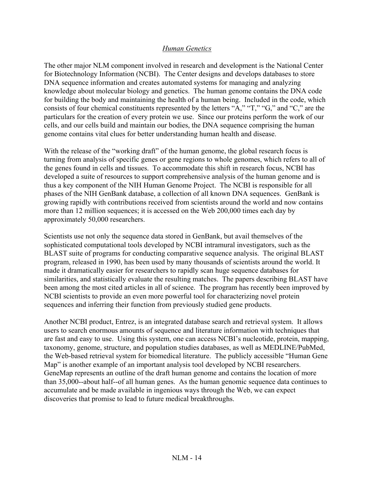#### *Human Genetics*

The other major NLM component involved in research and development is the National Center for Biotechnology Information (NCBI). The Center designs and develops databases to store DNA sequence information and creates automated systems for managing and analyzing knowledge about molecular biology and genetics. The human genome contains the DNA code for building the body and maintaining the health of a human being. Included in the code, which consists of four chemical constituents represented by the letters "A," "T," "G," and "C," are the particulars for the creation of every protein we use. Since our proteins perform the work of our cells, and our cells build and maintain our bodies, the DNA sequence comprising the human genome contains vital clues for better understanding human health and disease.

With the release of the "working draft" of the human genome, the global research focus is turning from analysis of specific genes or gene regions to whole genomes, which refers to all of the genes found in cells and tissues. To accommodate this shift in research focus, NCBI has developed a suite of resources to support comprehensive analysis of the human genome and is thus a key component of the NIH Human Genome Project. The NCBI is responsible for all phases of the NIH GenBank database, a collection of all known DNA sequences. GenBank is growing rapidly with contributions received from scientists around the world and now contains more than 12 million sequences; it is accessed on the Web 200,000 times each day by approximately 50,000 researchers.

Scientists use not only the sequence data stored in GenBank, but avail themselves of the sophisticated computational tools developed by NCBI intramural investigators, such as the BLAST suite of programs for conducting comparative sequence analysis. The original BLAST program, released in 1990, has been used by many thousands of scientists around the world. It made it dramatically easier for researchers to rapidly scan huge sequence databases for similarities, and statistically evaluate the resulting matches. The papers describing BLAST have been among the most cited articles in all of science. The program has recently been improved by NCBI scientists to provide an even more powerful tool for characterizing novel protein sequences and inferring their function from previously studied gene products.

Another NCBI product, Entrez, is an integrated database search and retrieval system. It allows users to search enormous amounts of sequence and literature information with techniques that are fast and easy to use. Using this system, one can access NCBI's nucleotide, protein, mapping, taxonomy, genome, structure, and population studies databases, as well as MEDLINE/PubMed, the Web-based retrieval system for biomedical literature. The publicly accessible "Human Gene Map" is another example of an important analysis tool developed by NCBI researchers. GeneMap represents an outline of the draft human genome and contains the location of more than 35,000--about half--of all human genes. As the human genomic sequence data continues to accumulate and be made available in ingenious ways through the Web, we can expect discoveries that promise to lead to future medical breakthroughs.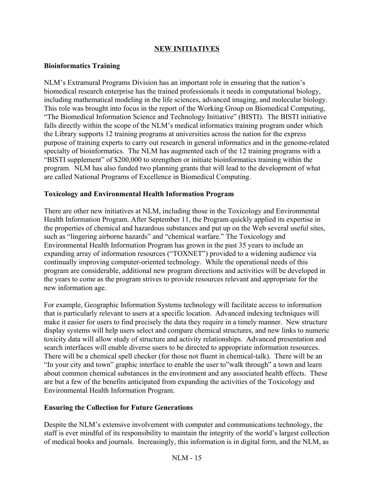# **NEW INITIATIVES**

## **Bioinformatics Training**

NLM's Extramural Programs Division has an important role in ensuring that the nation's biomedical research enterprise has the trained professionals it needs in computational biology, including mathematical modeling in the life sciences, advanced imaging, and molecular biology. This role was brought into focus in the report of the Working Group on Biomedical Computing, ìThe Biomedical Information Science and Technology Initiativeî (BISTI). The BISTI initiative falls directly within the scope of the NLM's medical informatics training program under which the Library supports 12 training programs at universities across the nation for the express purpose of training experts to carry out research in general informatics and in the genome-related specialty of bioinformatics. The NLM has augmented each of the 12 training programs with a "BISTI supplement" of \$200,000 to strengthen or initiate bioinformatics training within the program. NLM has also funded two planning grants that will lead to the development of what are called National Programs of Excellence in Biomedical Computing.

## **Toxicology and Environmental Health Information Program**

There are other new initiatives at NLM, including those in the Toxicology and Environmental Health Information Program. After September 11, the Program quickly applied its expertise in the properties of chemical and hazardous substances and put up on the Web several useful sites, such as "lingering airborne hazards" and "chemical warfare." The Toxicology and Environmental Health Information Program has grown in the past 35 years to include an expanding array of information resources ("TOXNET") provided to a widening audience via continually improving computer-oriented technology. While the operational needs of this program are considerable, additional new program directions and activities will be developed in the years to come as the program strives to provide resources relevant and appropriate for the new information age.

For example, Geographic Information Systems technology will facilitate access to information that is particularly relevant to users at a specific location. Advanced indexing techniques will make it easier for users to find precisely the data they require in a timely manner. New structure display systems will help users select and compare chemical structures, and new links to numeric toxicity data will allow study of structure and activity relationships. Advanced presentation and search interfaces will enable diverse users to be directed to appropriate information resources. There will be a chemical spell checker (for those not fluent in chemical-talk). There will be an "In your city and town" graphic interface to enable the user to"walk through" a town and learn about common chemical substances in the environment and any associated health effects. These are but a few of the benefits anticipated from expanding the activities of the Toxicology and Environmental Health Information Program.

## **Ensuring the Collection for Future Generations**

Despite the NLM's extensive involvement with computer and communications technology, the staff is ever mindful of its responsibility to maintain the integrity of the world's largest collection of medical books and journals. Increasingly, this information is in digital form, and the NLM, as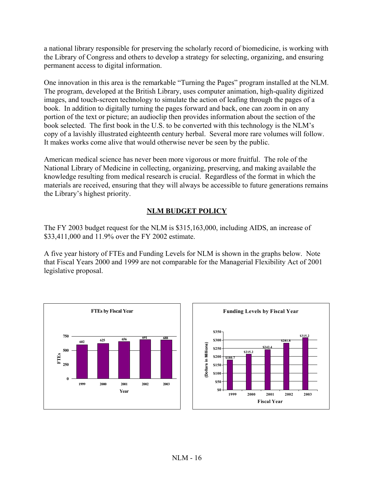a national library responsible for preserving the scholarly record of biomedicine, is working with the Library of Congress and others to develop a strategy for selecting, organizing, and ensuring permanent access to digital information.

One innovation in this area is the remarkable "Turning the Pages" program installed at the NLM. The program, developed at the British Library, uses computer animation, high-quality digitized images, and touch-screen technology to simulate the action of leafing through the pages of a book. In addition to digitally turning the pages forward and back, one can zoom in on any portion of the text or picture; an audioclip then provides information about the section of the book selected. The first book in the U.S. to be converted with this technology is the NLM's copy of a lavishly illustrated eighteenth century herbal. Several more rare volumes will follow. It makes works come alive that would otherwise never be seen by the public.

American medical science has never been more vigorous or more fruitful. The role of the National Library of Medicine in collecting, organizing, preserving, and making available the knowledge resulting from medical research is crucial. Regardless of the format in which the materials are received, ensuring that they will always be accessible to future generations remains the Library's highest priority.

# **NLM BUDGET POLICY**

The FY 2003 budget request for the NLM is \$315,163,000, including AIDS, an increase of \$33,411,000 and 11.9% over the FY 2002 estimate.

A five year history of FTEs and Funding Levels for NLM is shown in the graphs below. Note that Fiscal Years 2000 and 1999 are not comparable for the Managerial Flexibility Act of 2001 legislative proposal.



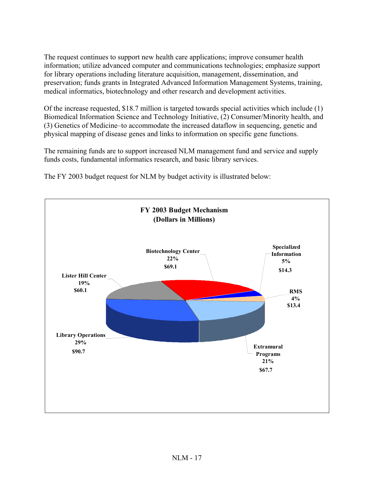The request continues to support new health care applications; improve consumer health information; utilize advanced computer and communications technologies; emphasize support for library operations including literature acquisition, management, dissemination, and preservation; funds grants in Integrated Advanced Information Management Systems, training, medical informatics, biotechnology and other research and development activities.

Of the increase requested, \$18.7 million is targeted towards special activities which include (1) Biomedical Information Science and Technology Initiative, (2) Consumer/Minority health, and (3) Genetics of Medicine–to accommodate the increased dataflow in sequencing, genetic and physical mapping of disease genes and links to information on specific gene functions.

The remaining funds are to support increased NLM management fund and service and supply funds costs, fundamental informatics research, and basic library services.

**FY 2003 Budget Mechanism (Dollars in Millions) Extramural Programs 21% RMS 4% Specialized Information 5% Biotechnology Center 22% Lister Hill Center 19% Library Operations 29% \$90.7 \$60.1 \$14.3 \$69.1 \$13.4 \$67.7**

The FY 2003 budget request for NLM by budget activity is illustrated below: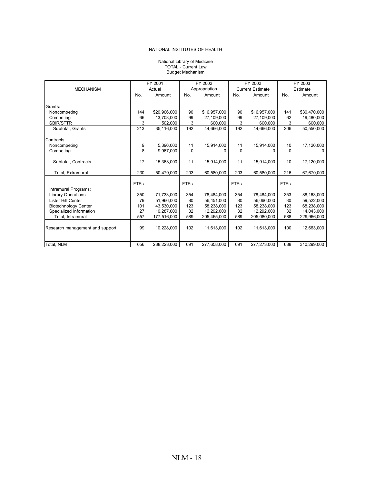#### National Library of Medicine TOTAL - Current Law Budget Mechanism

|                                 |             | FY 2001      | FY 2002     |               | FY 2002     |                         | FY 2003     |              |  |
|---------------------------------|-------------|--------------|-------------|---------------|-------------|-------------------------|-------------|--------------|--|
| <b>MECHANISM</b>                |             | Actual       |             | Appropriation |             | <b>Current Estimate</b> |             | Estimate     |  |
|                                 | No.         | Amount       | No.         | Amount        | No.         | Amount                  | No.         | Amount       |  |
|                                 |             |              |             |               |             |                         |             |              |  |
| Grants:                         |             |              |             |               |             |                         |             |              |  |
| Noncompeting                    | 144         | \$20,906,000 | 90          | \$16,957,000  | 90          | \$16,957,000            | 141         | \$30,470,000 |  |
| Competing                       | 66          | 13.708.000   | 99          | 27.109.000    | 99          | 27.109.000              | 62          | 19,480,000   |  |
| <b>SBIR/STTR</b>                | 3           | 502,000      | 3           | 600,000       | 3           | 600,000                 | 3           | 600,000      |  |
| Subtotal, Grants                | 213         | 35,116,000   | 192         | 44.666.000    | 192         | 44.666.000              | 206         | 50,550,000   |  |
|                                 |             |              |             |               |             |                         |             |              |  |
| Contracts:                      |             |              |             |               |             |                         |             |              |  |
| Noncompeting                    | 9           | 5,396,000    | 11          | 15,914,000    | 11          | 15,914,000              | 10          | 17,120,000   |  |
| Competing                       | 8           | 9,967,000    | $\Omega$    | 0             | $\mathbf 0$ | 0                       | $\Omega$    | 0            |  |
|                                 |             |              |             |               |             |                         |             |              |  |
| Subtotal, Contracts             | 17          | 15,363,000   | 11          | 15,914,000    | 11          | 15,914,000              | 10          | 17,120,000   |  |
| Total. Extramural               | 230         | 50.479.000   | 203         | 60.580.000    | 203         | 60.580.000              | 216         | 67.670.000   |  |
|                                 |             |              |             |               |             |                         |             |              |  |
|                                 | <b>FTEs</b> |              | <b>FTEs</b> |               | <b>FTEs</b> |                         | <b>FTEs</b> |              |  |
| Intramural Programs:            |             |              |             |               |             |                         |             |              |  |
| <b>Library Operations</b>       | 350         | 71,733,000   | 354         | 78,484,000    | 354         | 78,484,000              | 353         | 88,163,000   |  |
| Lister Hill Center              | 79          | 51,966,000   | 80          | 56,451,000    | 80          | 56,066,000              | 80          | 59,522,000   |  |
| <b>Biotechnology Center</b>     | 101         | 43,530,000   | 123         | 58,238,000    | 123         | 58,238,000              | 123         | 68,238,000   |  |
| Specialized Information         | 27          | 10,287,000   | 32          | 12,292,000    | 32          | 12,292,000              | 32          | 14,043,000   |  |
| Total, Intramural               | 557         | 177,516,000  | 589         | 205,465,000   | 589         | 205,080,000             | 588         | 229,966,000  |  |
|                                 |             |              |             |               |             |                         |             |              |  |
| Research management and support | 99          | 10,228,000   | 102         | 11,613,000    | 102         | 11,613,000              | 100         | 12,663,000   |  |
|                                 |             |              |             |               |             |                         |             |              |  |
|                                 |             |              |             |               |             |                         |             |              |  |
| Total, NLM                      | 656         | 238,223,000  | 691         | 277,658,000   | 691         | 277,273,000             | 688         | 310,299,000  |  |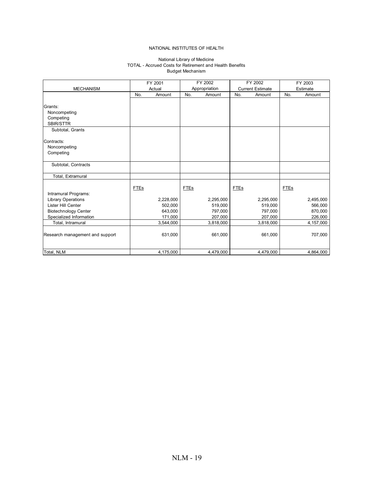#### National Library of Medicine Budget Mechanism TOTAL - Accrued Costs for Retirement and Health Benefits

| <b>MECHANISM</b>                                       |             | FY 2001<br>Actual  | FY 2002<br>Appropriation |                    | FY 2002<br><b>Current Estimate</b> |                    |      | FY 2003<br>Estimate |
|--------------------------------------------------------|-------------|--------------------|--------------------------|--------------------|------------------------------------|--------------------|------|---------------------|
|                                                        | No.         | Amount             | No.                      | Amount             | No.                                | Amount             | No.  | Amount              |
|                                                        |             |                    |                          |                    |                                    |                    |      |                     |
| Grants:                                                |             |                    |                          |                    |                                    |                    |      |                     |
| Noncompeting                                           |             |                    |                          |                    |                                    |                    |      |                     |
| Competing                                              |             |                    |                          |                    |                                    |                    |      |                     |
| SBIR/STTR                                              |             |                    |                          |                    |                                    |                    |      |                     |
| Subtotal, Grants                                       |             |                    |                          |                    |                                    |                    |      |                     |
|                                                        |             |                    |                          |                    |                                    |                    |      |                     |
| Contracts:                                             |             |                    |                          |                    |                                    |                    |      |                     |
| Noncompeting<br>Competing                              |             |                    |                          |                    |                                    |                    |      |                     |
|                                                        |             |                    |                          |                    |                                    |                    |      |                     |
| Subtotal, Contracts                                    |             |                    |                          |                    |                                    |                    |      |                     |
|                                                        |             |                    |                          |                    |                                    |                    |      |                     |
| Total, Extramural                                      |             |                    |                          |                    |                                    |                    |      |                     |
|                                                        |             |                    |                          |                    |                                    |                    |      |                     |
|                                                        | <b>FTEs</b> |                    | <b>FTEs</b>              |                    | <b>FTEs</b>                        |                    | FTEs |                     |
| Intramural Programs:                                   |             |                    |                          |                    |                                    |                    |      |                     |
| <b>Library Operations</b><br>Lister Hill Center        |             | 2,228,000          |                          | 2,295,000          |                                    | 2,295,000          |      | 2,495,000           |
|                                                        |             | 502,000<br>643,000 |                          | 519,000<br>797,000 |                                    | 519,000<br>797,000 |      | 566,000<br>870,000  |
| <b>Biotechnology Center</b><br>Specialized Information |             | 171,000            |                          | 207,000            |                                    | 207,000            |      | 226,000             |
| Total, Intramural                                      |             | 3,544,000          |                          | 3,818,000          |                                    | 3,818,000          |      | 4,157,000           |
|                                                        |             |                    |                          |                    |                                    |                    |      |                     |
| Research management and support                        |             | 631,000            |                          | 661,000            |                                    | 661,000            |      | 707,000             |
|                                                        |             |                    |                          |                    |                                    |                    |      |                     |
|                                                        |             |                    |                          |                    |                                    |                    |      |                     |
| Total, NLM                                             |             | 4,175,000          |                          | 4,479,000          |                                    | 4,479,000          |      | 4,864,000           |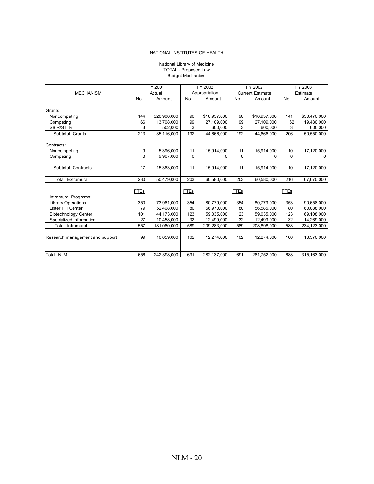#### Budget Mechanism TOTAL - Proposed Law National Library of Medicine

|                                 |             | FY 2001      | FY 2002     |               | FY 2002     |                         | FY 2003     |               |  |
|---------------------------------|-------------|--------------|-------------|---------------|-------------|-------------------------|-------------|---------------|--|
| <b>MECHANISM</b>                |             | Actual       |             | Appropriation |             | <b>Current Estimate</b> |             | Estimate      |  |
|                                 | No.         | Amount       | No.         | Amount        | No.         | Amount                  | No.         | Amount        |  |
|                                 |             |              |             |               |             |                         |             |               |  |
| Grants:                         |             |              |             |               |             |                         |             |               |  |
| Noncompeting                    | 144         | \$20,906,000 | 90          | \$16,957,000  | 90          | \$16,957,000            | 141         | \$30,470,000  |  |
| Competing                       | 66          | 13,708,000   | 99          | 27,109,000    | 99          | 27,109,000              | 62          | 19,480,000    |  |
| <b>SBIR/STTR</b>                | 3           | 502,000      | 3           | 600,000       | 3           | 600,000                 | 3           | 600,000       |  |
| Subtotal, Grants                | 213         | 35,116,000   | 192         | 44,666,000    | 192         | 44,666,000              | 206         | 50,550,000    |  |
|                                 |             |              |             |               |             |                         |             |               |  |
| Contracts:                      |             |              |             |               |             |                         |             |               |  |
| Noncompeting                    | 9           | 5,396,000    | 11          | 15,914,000    | 11          | 15,914,000              | 10          | 17,120,000    |  |
| Competing                       | 8           | 9,967,000    | $\Omega$    | n             | 0           | ŋ                       | 0           | $\Omega$      |  |
|                                 |             |              |             |               |             |                         |             |               |  |
| Subtotal, Contracts             | 17          | 15,363,000   | 11          | 15,914,000    | 11          | 15,914,000              | 10          | 17,120,000    |  |
|                                 |             |              |             |               |             |                         |             |               |  |
| Total, Extramural               | 230         | 50,479,000   | 203         | 60,580,000    | 203         | 60,580,000              | 216         | 67,670,000    |  |
|                                 |             |              |             |               |             |                         |             |               |  |
|                                 | <b>FTEs</b> |              | <b>FTEs</b> |               | <b>FTEs</b> |                         | <b>FTEs</b> |               |  |
| Intramural Programs:            |             |              |             |               |             |                         |             |               |  |
| <b>Library Operations</b>       | 350         | 73,961,000   | 354         | 80.779.000    | 354         | 80,779,000              | 353         | 90.658.000    |  |
| Lister Hill Center              | 79          | 52,468,000   | 80          | 56,970,000    | 80          | 56,585,000              | 80          | 60,088,000    |  |
| <b>Biotechnology Center</b>     | 101         | 44,173,000   | 123         | 59,035,000    | 123         | 59,035,000              | 123         | 69,108,000    |  |
| Specialized Information         | 27          | 10,458,000   | 32          | 12,499,000    | 32          | 12,499,000              | 32          | 14,269,000    |  |
| Total, Intramural               | 557         | 181,060,000  | 589         | 209,283,000   | 589         | 208,898,000             | 588         | 234, 123, 000 |  |
|                                 |             |              |             |               |             |                         |             |               |  |
| Research management and support | 99          | 10,859,000   | 102         | 12,274,000    | 102         | 12,274,000              | 100         | 13,370,000    |  |
|                                 |             |              |             |               |             |                         |             |               |  |
|                                 |             |              |             |               |             |                         |             |               |  |
| Total, NLM                      | 656         | 242,398,000  | 691         | 282,137,000   | 691         | 281,752,000             | 688         | 315,163,000   |  |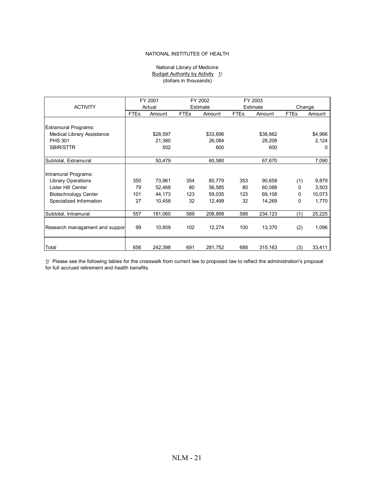#### National Library of Medicine Budget Authority by Activity 1/ (dollars in thousands)

|                                |             | FY 2001  | FY 2002     |          | FY 2003     |          |             |         |  |
|--------------------------------|-------------|----------|-------------|----------|-------------|----------|-------------|---------|--|
| <b>ACTIVITY</b>                |             | Actual   |             | Estimate | Estimate    |          | Change      |         |  |
|                                | <b>FTEs</b> | Amount   | <b>FTEs</b> | Amount   | <b>FTEs</b> | Amount   | <b>FTEs</b> | Amount  |  |
|                                |             |          |             |          |             |          |             |         |  |
| <b>Extramural Programs:</b>    |             |          |             |          |             |          |             |         |  |
| Medical Library Assistance     |             | \$28,597 |             | \$33,896 |             | \$38,862 |             | \$4,966 |  |
| <b>PHS 301</b>                 |             | 21,380   |             | 26,084   |             | 28,208   |             | 2,124   |  |
| <b>SBIR/STTR</b>               |             | 502      |             | 600      |             | 600      |             | 0       |  |
|                                |             |          |             |          |             |          |             |         |  |
| Subtotal, Extramural           |             | 50,479   |             | 60,580   |             | 67,670   |             | 7,090   |  |
|                                |             |          |             |          |             |          |             |         |  |
| Intramural Programs:           |             |          |             |          |             |          |             |         |  |
| <b>Library Operations</b>      | 350         | 73,961   | 354         | 80,779   | 353         | 90,658   | (1)         | 9,879   |  |
| Lister Hill Center             | 79          | 52.468   | 80          | 56,585   | 80          | 60,088   | 0           | 3,503   |  |
| <b>Biotechnology Center</b>    | 101         | 44,173   | 123         | 59,035   | 123         | 69,108   | 0           | 10,073  |  |
| Specialized Information        | 27          | 10,458   | 32          | 12,499   | 32          | 14,269   | 0           | 1,770   |  |
|                                |             |          |             |          |             |          |             |         |  |
| Subtotal, Intramural           | 557         | 181,060  | 589         | 208,898  | 588         | 234,123  | (1)         | 25,225  |  |
|                                |             |          |             |          |             |          |             |         |  |
| Research managament and suppor | 99          | 10,859   | 102         | 12,274   | 100         | 13,370   | (2)         | 1,096   |  |
|                                |             |          |             |          |             |          |             |         |  |
|                                |             |          |             |          |             |          |             |         |  |
| Total                          | 656         | 242,398  | 691         | 281,752  | 688         | 315,163  | (3)         | 33,411  |  |

1/ Please see the following tables for the crosswalk from current law to proposed law to reflect the administration's proposal for full accrued retirement and health benefits.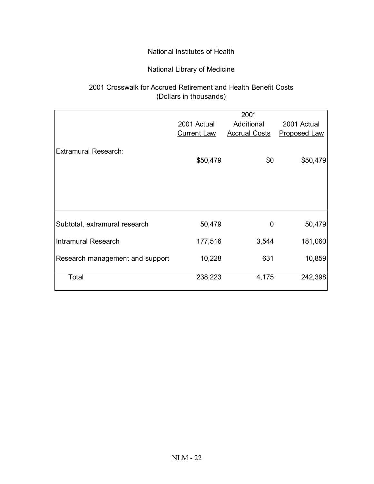# National Library of Medicine

# (Dollars in thousands) 2001 Crosswalk for Accrued Retirement and Health Benefit Costs

|                                 |                    | 2001                 |                     |
|---------------------------------|--------------------|----------------------|---------------------|
|                                 | 2001 Actual        | Additional           | 2001 Actual         |
|                                 | <b>Current Law</b> | <b>Accrual Costs</b> | <b>Proposed Law</b> |
| Extramural Research:            | \$50,479           | \$0                  | \$50,479            |
| Subtotal, extramural research   | 50,479             | 0                    | 50,479              |
| Intramural Research             | 177,516            | 3,544                | 181,060             |
| Research management and support | 10,228             | 631                  | 10,859              |
| Total                           | 238,223            | 4,175                | 242,398             |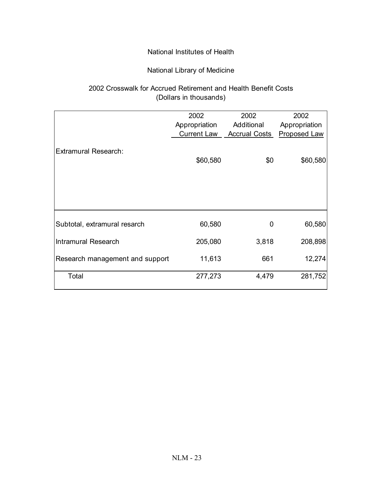# National Library of Medicine

# 2002 Crosswalk for Accrued Retirement and Health Benefit Costs (Dollars in thousands)

|                                 | 2002               | 2002                 | 2002                |
|---------------------------------|--------------------|----------------------|---------------------|
|                                 | Appropriation      | Additional           | Appropriation       |
|                                 | <b>Current Law</b> | <b>Accrual Costs</b> | <b>Proposed Law</b> |
| <b>Extramural Research:</b>     | \$60,580           | \$0                  | \$60,580            |
| Subtotal, extramural resarch    | 60,580             | 0                    | 60,580              |
| <b>Intramural Research</b>      | 205,080            | 3,818                | 208,898             |
| Research management and support | 11,613             | 661                  | 12,274              |
| Total                           | 277,273            | 4,479                | 281,752             |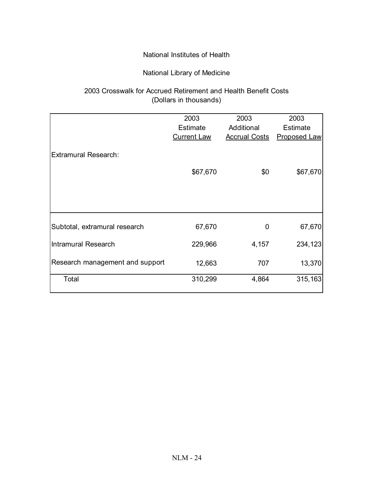# National Library of Medicine

# 2003 Crosswalk for Accrued Retirement and Health Benefit Costs (Dollars in thousands)

|                                 | 2003               | 2003                 | 2003                |
|---------------------------------|--------------------|----------------------|---------------------|
|                                 | <b>Estimate</b>    | Additional           | <b>Estimate</b>     |
|                                 | <b>Current Law</b> | <b>Accrual Costs</b> | <b>Proposed Law</b> |
|                                 |                    |                      |                     |
| <b>Extramural Research:</b>     |                    |                      |                     |
|                                 |                    |                      |                     |
|                                 | \$67,670           | \$0                  | \$67,670            |
|                                 |                    |                      |                     |
|                                 |                    |                      |                     |
|                                 |                    |                      |                     |
|                                 |                    |                      |                     |
|                                 |                    |                      |                     |
| Subtotal, extramural research   | 67,670             | 0                    | 67,670              |
|                                 |                    |                      |                     |
| <b>Intramural Research</b>      | 229,966            | 4,157                | 234,123             |
|                                 |                    |                      |                     |
| Research management and support | 12,663             | 707                  | 13,370              |
|                                 |                    |                      |                     |
| Total                           | 310,299            | 4,864                | 315,163             |
|                                 |                    |                      |                     |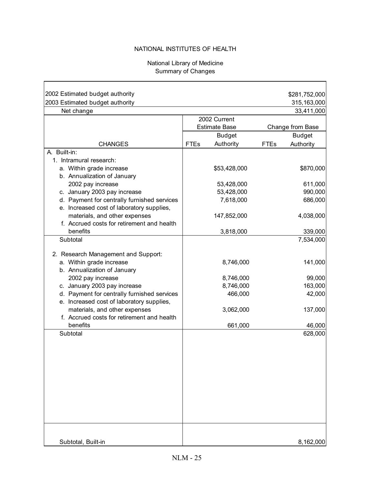## National Library of Medicine Summary of Changes

| 2002 Estimated budget authority                                             |             |                      |             | \$281,752,000    |
|-----------------------------------------------------------------------------|-------------|----------------------|-------------|------------------|
| 2003 Estimated budget authority                                             |             |                      |             | 315,163,000      |
| Net change                                                                  |             |                      |             | 33,411,000       |
|                                                                             |             | 2002 Current         |             |                  |
|                                                                             |             | <b>Estimate Base</b> |             | Change from Base |
|                                                                             |             | <b>Budget</b>        |             | <b>Budget</b>    |
| <b>CHANGES</b>                                                              | <b>FTEs</b> | Authority            | <b>FTEs</b> | Authority        |
| A. Built-in:                                                                |             |                      |             |                  |
| 1. Intramural research:                                                     |             |                      |             |                  |
| a. Within grade increase                                                    |             | \$53,428,000         |             | \$870,000        |
| b. Annualization of January                                                 |             |                      |             |                  |
| 2002 pay increase                                                           |             | 53,428,000           |             | 611,000          |
| c. January 2003 pay increase                                                |             | 53,428,000           |             | 990,000          |
| d. Payment for centrally furnished services                                 |             | 7,618,000            |             | 686,000          |
| e. Increased cost of laboratory supplies,                                   |             |                      |             |                  |
| materials, and other expenses                                               |             | 147,852,000          |             | 4,038,000        |
| f. Accrued costs for retirement and health                                  |             |                      |             |                  |
| benefits                                                                    |             | 3,818,000            |             | 339,000          |
| Subtotal                                                                    |             |                      |             | 7,534,000        |
|                                                                             |             |                      |             |                  |
| 2. Research Management and Support:                                         |             |                      |             |                  |
| a. Within grade increase                                                    |             | 8,746,000            |             | 141,000          |
| b. Annualization of January                                                 |             |                      |             |                  |
| 2002 pay increase                                                           |             | 8,746,000            |             | 99,000           |
| c. January 2003 pay increase                                                |             | 8,746,000            |             | 163,000          |
| d. Payment for centrally furnished services                                 |             | 466,000              |             | 42,000           |
| e. Increased cost of laboratory supplies,                                   |             |                      |             |                  |
| materials, and other expenses<br>f. Accrued costs for retirement and health |             | 3,062,000            |             | 137,000          |
| benefits                                                                    |             | 661,000              |             | 46,000           |
| Subtotal                                                                    |             |                      |             | 628,000          |
|                                                                             |             |                      |             |                  |
|                                                                             |             |                      |             |                  |
|                                                                             |             |                      |             |                  |
|                                                                             |             |                      |             |                  |
|                                                                             |             |                      |             |                  |
|                                                                             |             |                      |             |                  |
|                                                                             |             |                      |             |                  |
|                                                                             |             |                      |             |                  |
|                                                                             |             |                      |             |                  |
|                                                                             |             |                      |             |                  |
|                                                                             |             |                      |             |                  |
|                                                                             |             |                      |             |                  |
|                                                                             |             |                      |             |                  |
| Subtotal, Built-in                                                          |             |                      |             | 8,162,000        |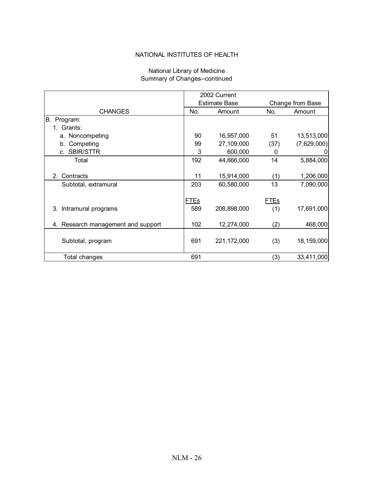|                                    |             | 2002 Current         |             |                  |  |
|------------------------------------|-------------|----------------------|-------------|------------------|--|
|                                    |             | <b>Estimate Base</b> |             | Change from Base |  |
| <b>CHANGES</b>                     | No.         | Amount               | No.         | Amount           |  |
| В.<br>Program:                     |             |                      |             |                  |  |
| 1. Grants:                         |             |                      |             |                  |  |
| a. Noncompeting                    | 90          | 16,957,000           | 51          | 13,513,000       |  |
| b. Competing                       | 99          | 27,109,000           | (37)        | (7,629,000)      |  |
| <b>SBIR/STTR</b><br>C.             | 3           | 600,000              | 0           |                  |  |
| Total                              | 192         | 44,666,000           | 14          | 5,884,000        |  |
|                                    |             |                      |             |                  |  |
| Contracts<br>2 <sup>1</sup>        | 11          | 15,914,000           | (1)         | 1,206,000        |  |
| Subtotal, extramural               | 203         | 60,580,000           | 13          | 7,090,000        |  |
|                                    |             |                      |             |                  |  |
|                                    | <b>FTEs</b> |                      | <b>FTEs</b> |                  |  |
| Intramural programs<br>3.          | 589         | 208,898,000          | (1)         | 17,691,000       |  |
|                                    |             |                      |             |                  |  |
| 4. Research management and support | 102         | 12,274,000           | (2)         | 468,000          |  |
|                                    |             |                      |             |                  |  |
| Subtotal, program                  | 691         | 221,172,000          | (3)         | 18,159,000       |  |
|                                    |             |                      |             |                  |  |
| Total changes                      | 691         |                      | (3)         | 33,411,000       |  |

#### Summary of Changes--continued National Library of Medicine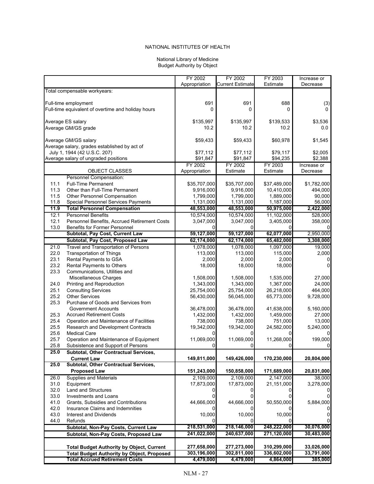#### National Library of Medicine Budget Authority by Object

|              |                                                           | FY 2002                  | FY 2002                 | FY 2003             | Increase or             |
|--------------|-----------------------------------------------------------|--------------------------|-------------------------|---------------------|-------------------------|
|              |                                                           | Appropriation            | <b>Current Estimate</b> | Estimate            | Decrease                |
|              | Total compensable workyears:                              |                          |                         |                     |                         |
|              | Full-time employment                                      | 691                      | 691                     | 688                 | (3)                     |
|              | Full-time equivalent of overtime and holiday hours        | 0                        | 0                       | 0                   |                         |
|              |                                                           |                          |                         |                     |                         |
|              | Average ES salary                                         | \$135,997                | \$135,997               | \$139,533           | \$3,536                 |
|              | Average GM/GS grade                                       | 10.2                     | 10.2                    | 10.2                | 0.0                     |
|              |                                                           |                          |                         |                     |                         |
|              | Average GM/GS salary                                      | \$59,433                 | \$59,433                | \$60,978            | \$1,545                 |
|              | Average salary, grades established by act of              |                          |                         |                     |                         |
|              | July 1, 1944 (42 U.S.C. 207)                              | \$77,112                 | \$77,112                | \$79,117            | \$2,005                 |
|              | Average salary of ungraded positions                      | \$91,847                 | \$91,847<br>FY 2002     | \$94,235            | \$2,388                 |
|              | <b>OBJECT CLASSES</b>                                     | FY 2002<br>Appropriation | Estimate                | FY 2003<br>Estimate | Increase or<br>Decrease |
|              | Personnel Compensation:                                   |                          |                         |                     |                         |
| 11.1         | <b>Full-Time Permanent</b>                                | \$35,707,000             | \$35,707,000            | \$37,489,000        | \$1,782,000             |
| 11.3         | Other than Full-Time Permanent                            | 9,916,000                | 9,916,000               | 10,410,000          | 494,000                 |
| 11.5         | Other Personnel Compensation                              | 1,799,000                | 1,799,000               | 1,889,000           | 90.000                  |
| 11.8         | Special Personnel Services Payments                       | 1,131,000                | 1,131,000               | 1,187,000           | 56,000                  |
| 11.9         | <b>Total Personnel Compensation</b>                       | 48,553,000               | 48,553,000              | 50,975,000          | 2,422,000               |
| 12.1         | <b>Personnel Benefits</b>                                 | 10,574,000               | 10,574,000              | 11,102,000          | 528.000                 |
| 12.1         | Personnel Benefits, Accrued Retirement Costs              | 3,047,000                | 3,047,000               | 3,405,000           | 358,000                 |
| 13.0         | Benefits for Former Personnel                             |                          |                         |                     |                         |
|              | Subtotal, Pay Cost, Current Law                           | 59,127,000               | 59,127,000              | 62,077,000          | 2,950,000               |
|              | Subtotal, Pay Cost, Proposed Law                          | 62,174,000               | 62,174,000              | 65,482,000          | 3,308,000               |
| 21.0         | Travel and Transportation of Persons                      | 1,078,000                | 1,078,000               | 1,097,000           | 19,000                  |
| 22.0         | <b>Transportation of Things</b>                           | 113.000                  | 113,000                 | 115.000             | 2,000                   |
| 23.1         | Rental Payments to GSA                                    | 2,000                    | 2,000                   | 2,000               | 0                       |
| 23.2         | Rental Payments to Others                                 | 18,000                   | 18,000                  | 18,000              | $\Omega$                |
| 23.3         | Communications, Utilities and                             |                          |                         |                     |                         |
|              | Miscellaneous Charges                                     | 1,508,000                | 1,508,000               | 1,535,000           | 27,000                  |
| 24.0         | Printing and Reproduction                                 | 1,343,000                | 1,343,000               | 1,367,000           | 24,000                  |
| 25.1         | <b>Consulting Services</b>                                | 25,754,000               | 25,754,000              | 26,218,000          | 464,000                 |
| 25.2         | <b>Other Services</b>                                     | 56,430,000               | 56,045,000              | 65,773,000          | 9,728,000               |
| 25.3         | Purchase of Goods and Services from                       |                          |                         |                     |                         |
|              | <b>Government Accounts</b>                                | 36,478,000               | 36,478,000              | 41,638,000          | 5,160,000               |
| 25.3         | <b>Accrued Retirement Costs</b>                           | 1,432,000                | 1,432,000               | 1,459,000           | 27,000                  |
| 25.4<br>25.5 | Operation and Maintenance of Facilities                   | 738,000                  | 738,000                 | 751,000             | 13,000                  |
| 25.6         | Research and Development Contracts<br><b>Medical Care</b> | 19,342,000               | 19,342,000              | 24,582,000          | 5,240,000               |
| 25.7         | Operation and Maintenance of Equipment                    | 11,069,000               | 11,069,000              | 11,268,000          | 199,000                 |
| 25.8         | Subsistence and Support of Persons                        | 0                        | 0                       | 0                   | 0                       |
| 25.0         | Subtotal, Other Contractual Services,                     |                          |                         |                     |                         |
|              | <b>Current Law</b>                                        | 149,811,000              | 149,426,000             | 170,230,000         | 20,804,000              |
| 25.0         | <b>Subtotal, Other Contractual Services,</b>              |                          |                         |                     |                         |
|              | <b>Proposed Law</b>                                       | 151,243,000              | 150,858,000             | 171,689,000         | 20,831,000              |
| 26.0         | <b>Supplies and Materials</b>                             | 2,109,000                | 2,109,000               | 2,147,000           | 38,000                  |
| 31.0         | Equipment                                                 | 17,873,000               | 17,873,000              | 21,151,000          | 3,278,000               |
| 32.0         | <b>Land and Structures</b>                                |                          |                         |                     |                         |
| 33.0         | Investments and Loans                                     |                          |                         |                     |                         |
| 41.0         | Grants, Subsidies and Contributions                       | 44,666,000               | 44,666,000              | 50,550,000          | 5,884,000               |
| 42.0         | Insurance Claims and Indemnities                          |                          |                         |                     |                         |
| 43.0         | Interest and Dividends                                    | 10,000                   | 10,000                  | 10,000              | 0                       |
| 44.0         | Refunds                                                   |                          |                         |                     |                         |
|              | Subtotal, Non-Pay Costs, Current Law                      | 218,531,000              | 218,146,000             | 248,222,000         | 30,076,000              |
|              | Subtotal, Non-Pay Costs, Proposed Law                     | 241,022,000              | 240,637,000             | 271,120,000         | 30,483,000              |
|              |                                                           |                          |                         |                     |                         |
|              | <b>Total Budget Authority by Object, Current</b>          | 277,658,000              | 277,273,000             | 310,299,000         | 33,026,000              |
|              | <b>Total Budget Authority by Object, Proposed</b>         | 303,196,000              | 302,811,000             | 336,602,000         | 33,791,000              |
|              | <b>Total Accrued Retirement Costs</b>                     | 4,479,000                | 4,479,000               | 4,864,000           | 385,000                 |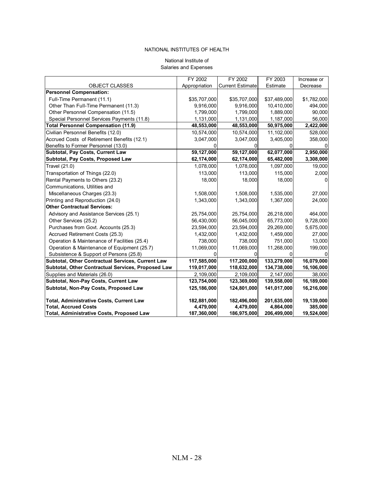#### National Institute of Salaries and Expenses

|                                                    | FY 2002       | FY 2002                 | FY 2003      | Increase or |
|----------------------------------------------------|---------------|-------------------------|--------------|-------------|
| <b>OBJECT CLASSES</b>                              | Appropriation | <b>Current Estimate</b> | Estimate     | Decrease    |
| <b>Personnel Compensation:</b>                     |               |                         |              |             |
| Full-Time Permanent (11.1)                         | \$35,707,000  | \$35,707,000            | \$37,489,000 | \$1,782,000 |
| Other Than Full-Time Permanent (11.3)              | 9,916,000     | 9,916,000               | 10,410,000   | 494,000     |
| Other Personnel Compensation (11.5)                | 1,799,000     | 1,799,000               | 1,889,000    | 90,000      |
| Special Personnel Services Payments (11.8)         | 1,131,000     | 1,131,000               | 1,187,000    | 56,000      |
| <b>Total Personnel Compensation (11.9)</b>         | 48,553,000    | 48,553,000              | 50,975,000   | 2,422,000   |
| Civilian Personnel Benefits (12.0)                 | 10,574,000    | 10,574,000              | 11,102,000   | 528,000     |
| Accrued Costs of Retirement Benefits (12.1)        | 3,047,000     | 3,047,000               | 3,405,000    | 358,000     |
| Benefits to Former Personnel (13.0)                |               |                         |              |             |
| Subtotal, Pay Costs, Current Law                   | 59,127,000    | 59,127,000              | 62,077,000   | 2,950,000   |
| Subtotal, Pay Costs, Proposed Law                  | 62,174,000    | 62,174,000              | 65,482,000   | 3,308,000   |
| Travel (21.0)                                      | 1,078,000     | 1,078,000               | 1,097,000    | 19,000      |
| Transportation of Things (22.0)                    | 113,000       | 113,000                 | 115,000      | 2,000       |
| Rental Payments to Others (23.2)                   | 18,000        | 18,000                  | 18,000       | 0           |
| Communications, Utilities and                      |               |                         |              |             |
| Miscellaneous Charges (23.3)                       | 1,508,000     | 1,508,000               | 1,535,000    | 27,000      |
| Printing and Reproduction (24.0)                   | 1,343,000     | 1,343,000               | 1,367,000    | 24,000      |
| <b>Other Contractual Services:</b>                 |               |                         |              |             |
| Advisory and Assistance Services (25.1)            | 25,754,000    | 25,754,000              | 26,218,000   | 464,000     |
| Other Services (25.2)                              | 56,430,000    | 56,045,000              | 65,773,000   | 9,728,000   |
| Purchases from Govt. Accounts (25.3)               | 23,594,000    | 23,594,000              | 29,269,000   | 5,675,000   |
| Accrued Retirement Costs (25.3)                    | 1,432,000     | 1,432,000               | 1,459,000    | 27,000      |
| Operation & Maintenance of Facilities (25.4)       | 738,000       | 738,000                 | 751,000      | 13,000      |
| Operation & Maintenance of Equipment (25.7)        | 11,069,000    | 11,069,000              | 11,268,000   | 199,000     |
| Subsistence & Support of Persons (25.8)            |               |                         |              |             |
| Subtotal, Other Contractual Services, Current Law  | 117,585,000   | 117,200,000             | 133,279,000  | 16,079,000  |
| Subtotal, Other Contractual Services, Proposed Law | 119,017,000   | 118,632,000             | 134,738,000  | 16,106,000  |
| Supplies and Materials (26.0)                      | 2,109,000     | 2,109,000               | 2,147,000    | 38,000      |
| Subtotal, Non-Pay Costs, Current Law               | 123,754,000   | 123,369,000             | 139,558,000  | 16,189,000  |
| Subtotal, Non-Pay Costs, Proposed Law              | 125,186,000   | 124,801,000             | 141,017,000  | 16,216,000  |
|                                                    |               |                         |              |             |
| Total, Administrative Costs, Current Law           | 182,881,000   | 182,496,000             | 201,635,000  | 19,139,000  |
| <b>Total, Accrued Costs</b>                        | 4,479,000     | 4,479,000               | 4,864,000    | 385,000     |
| <b>Total, Administrative Costs, Proposed Law</b>   | 187,360,000   | 186,975,000             | 206,499,000  | 19,524,000  |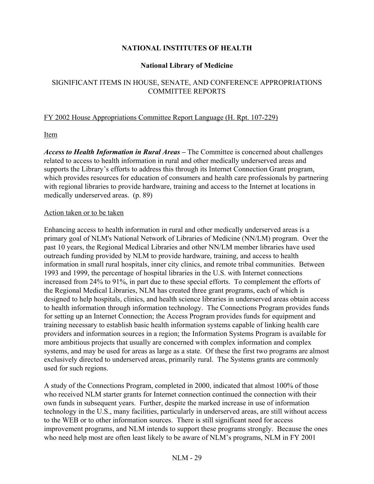## **National Library of Medicine**

# SIGNIFICANT ITEMS IN HOUSE, SENATE, AND CONFERENCE APPROPRIATIONS COMMITTEE REPORTS

## FY 2002 House Appropriations Committee Report Language (H. Rpt. 107-229)

Item

*Access to Health Information in Rural Areas* – The Committee is concerned about challenges related to access to health information in rural and other medically underserved areas and supports the Library's efforts to address this through its Internet Connection Grant program, which provides resources for education of consumers and health care professionals by partnering with regional libraries to provide hardware, training and access to the Internet at locations in medically underserved areas. (p. 89)

#### Action taken or to be taken

Enhancing access to health information in rural and other medically underserved areas is a primary goal of NLM's National Network of Libraries of Medicine (NN/LM) program. Over the past 10 years, the Regional Medical Libraries and other NN/LM member libraries have used outreach funding provided by NLM to provide hardware, training, and access to health information in small rural hospitals, inner city clinics, and remote tribal communities. Between 1993 and 1999, the percentage of hospital libraries in the U.S. with Internet connections increased from 24% to 91%, in part due to these special efforts. To complement the efforts of the Regional Medical Libraries, NLM has created three grant programs, each of which is designed to help hospitals, clinics, and health science libraries in underserved areas obtain access to health information through information technology. The Connections Program provides funds for setting up an Internet Connection; the Access Program provides funds for equipment and training necessary to establish basic health information systems capable of linking health care providers and information sources in a region; the Information Systems Program is available for more ambitious projects that usually are concerned with complex information and complex systems, and may be used for areas as large as a state. Of these the first two programs are almost exclusively directed to underserved areas, primarily rural. The Systems grants are commonly used for such regions.

A study of the Connections Program, completed in 2000, indicated that almost 100% of those who received NLM starter grants for Internet connection continued the connection with their own funds in subsequent years. Further, despite the marked increase in use of information technology in the U.S., many facilities, particularly in underserved areas, are still without access to the WEB or to other information sources. There is still significant need for access improvement programs, and NLM intends to support these programs strongly. Because the ones who need help most are often least likely to be aware of NLM's programs, NLM in FY 2001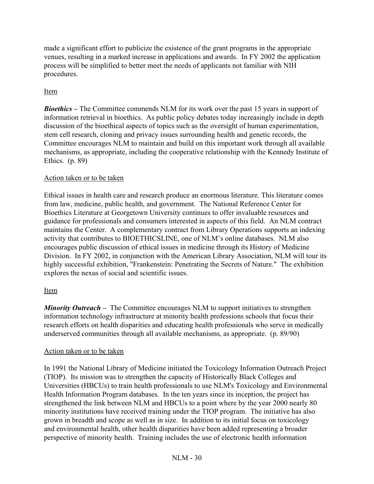made a significant effort to publicize the existence of the grant programs in the appropriate venues, resulting in a marked increase in applications and awards. In FY 2002 the application process will be simplified to better meet the needs of applicants not familiar with NIH procedures.

# Item

*Bioethics* – The Committee commends NLM for its work over the past 15 years in support of information retrieval in bioethics. As public policy debates today increasingly include in depth discussion of the bioethical aspects of topics such as the oversight of human experimentation, stem cell research, cloning and privacy issues surrounding health and genetic records, the Committee encourages NLM to maintain and build on this important work through all available mechanisms, as appropriate, including the cooperative relationship with the Kennedy Institute of Ethics. (p. 89)

# Action taken or to be taken

Ethical issues in health care and research produce an enormous literature. This literature comes from law, medicine, public health, and government. The National Reference Center for Bioethics Literature at Georgetown University continues to offer invaluable resources and guidance for professionals and consumers interested in aspects of this field. An NLM contract maintains the Center. A complementary contract from Library Operations supports an indexing activity that contributes to BIOETHICSLINE, one of NLM's online databases. NLM also encourages public discussion of ethical issues in medicine through its History of Medicine Division. In FY 2002, in conjunction with the American Library Association, NLM will tour its highly successful exhibition, "Frankenstein: Penetrating the Secrets of Nature." The exhibition explores the nexus of social and scientific issues.

# Item

*Minority Outreach* – The Committee encourages NLM to support initiatives to strengthen information technology infrastructure at minority health professions schools that focus their research efforts on health disparities and educating health professionals who serve in medically underserved communities through all available mechanisms, as appropriate. (p. 89/90)

# Action taken or to be taken

In 1991 the National Library of Medicine initiated the Toxicology Information Outreach Project (TIOP). Its mission was to strengthen the capacity of Historically Black Colleges and Universities (HBCUs) to train health professionals to use NLM's Toxicology and Environmental Health Information Program databases. In the ten years since its inception, the project has strengthened the link between NLM and HBCUs to a point where by the year 2000 nearly 80 minority institutions have received training under the TIOP program. The initiative has also grown in breadth and scope as well as in size. In addition to its initial focus on toxicology and environmental health, other health disparities have been added representing a broader perspective of minority health. Training includes the use of electronic health information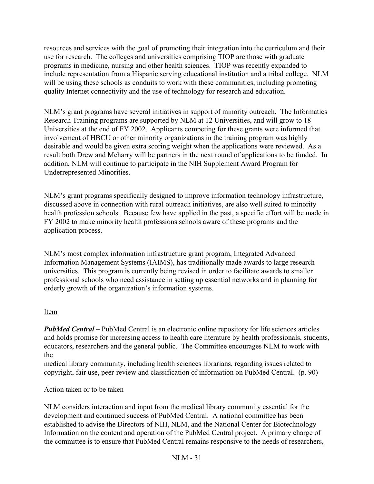resources and services with the goal of promoting their integration into the curriculum and their use for research. The colleges and universities comprising TIOP are those with graduate programs in medicine, nursing and other health sciences. TIOP was recently expanded to include representation from a Hispanic serving educational institution and a tribal college. NLM will be using these schools as conduits to work with these communities, including promoting quality Internet connectivity and the use of technology for research and education.

NLM's grant programs have several initiatives in support of minority outreach. The Informatics Research Training programs are supported by NLM at 12 Universities, and will grow to 18 Universities at the end of FY 2002. Applicants competing for these grants were informed that involvement of HBCU or other minority organizations in the training program was highly desirable and would be given extra scoring weight when the applications were reviewed. As a result both Drew and Meharry will be partners in the next round of applications to be funded. In addition, NLM will continue to participate in the NIH Supplement Award Program for Underrepresented Minorities.

NLM's grant programs specifically designed to improve information technology infrastructure, discussed above in connection with rural outreach initiatives, are also well suited to minority health profession schools. Because few have applied in the past, a specific effort will be made in FY 2002 to make minority health professions schools aware of these programs and the application process.

NLMís most complex information infrastructure grant program, Integrated Advanced Information Management Systems (IAIMS), has traditionally made awards to large research universities. This program is currently being revised in order to facilitate awards to smaller professional schools who need assistance in setting up essential networks and in planning for orderly growth of the organization's information systems.

## Item

*PubMed Central* – PubMed Central is an electronic online repository for life sciences articles and holds promise for increasing access to health care literature by health professionals, students, educators, researchers and the general public. The Committee encourages NLM to work with the

medical library community, including health sciences librarians, regarding issues related to copyright, fair use, peer-review and classification of information on PubMed Central. (p. 90)

## Action taken or to be taken

NLM considers interaction and input from the medical library community essential for the development and continued success of PubMed Central. A national committee has been established to advise the Directors of NIH, NLM, and the National Center for Biotechnology Information on the content and operation of the PubMed Central project. A primary charge of the committee is to ensure that PubMed Central remains responsive to the needs of researchers,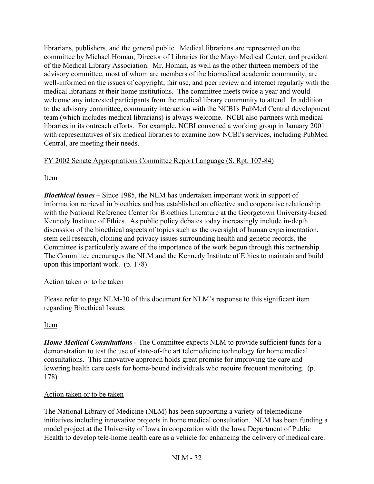librarians, publishers, and the general public. Medical librarians are represented on the committee by Michael Homan, Director of Libraries for the Mayo Medical Center, and president of the Medical Library Association. Mr. Homan, as well as the other thirteen members of the advisory committee, most of whom are members of the biomedical academic community, are well-informed on the issues of copyright, fair use, and peer review and interact regularly with the medical librarians at their home institutions. The committee meets twice a year and would welcome any interested participants from the medical library community to attend. In addition to the advisory committee, community interaction with the NCBI's PubMed Central development team (which includes medical librarians) is always welcome. NCBI also partners with medical libraries in its outreach efforts. For example, NCBI convened a working group in January 2001 with representatives of six medical libraries to examine how NCBI's services, including PubMed Central, are meeting their needs.

# FY 2002 Senate Appropriations Committee Report Language (S. Rpt. 107-84)

# Item

*Bioethical issues* – Since 1985, the NLM has undertaken important work in support of information retrieval in bioethics and has established an effective and cooperative relationship with the National Reference Center for Bioethics Literature at the Georgetown University-based Kennedy Institute of Ethics. As public policy debates today increasingly include in-depth discussion of the bioethical aspects of topics such as the oversight of human experimentation, stem cell research, cloning and privacy issues surrounding health and genetic records, the Committee is particularly aware of the importance of the work begun through this partnership. The Committee encourages the NLM and the Kennedy Institute of Ethics to maintain and build upon this important work. (p. 178)

# Action taken or to be taken

Please refer to page NLM-30 of this document for NLM's response to this significant item regarding Bioethical Issues.

# Item

*Home Medical Consultations -* The Committee expects NLM to provide sufficient funds for a demonstration to test the use of state-of-the art telemedicine technology for home medical consultations. This innovative approach holds great promise for improving the care and lowering health care costs for home-bound individuals who require frequent monitoring. (p. 178)

# Action taken or to be taken

The National Library of Medicine (NLM) has been supporting a variety of telemedicine initiatives including innovative projects in home medical consultation. NLM has been funding a model project at the University of Iowa in cooperation with the Iowa Department of Public Health to develop tele-home health care as a vehicle for enhancing the delivery of medical care.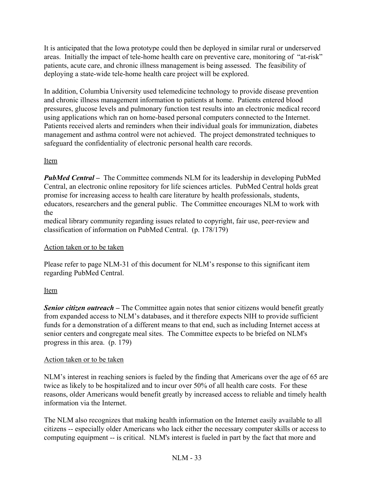It is anticipated that the Iowa prototype could then be deployed in similar rural or underserved areas. Initially the impact of tele-home health care on preventive care, monitoring of "at-risk" patients, acute care, and chronic illness management is being assessed. The feasibility of deploying a state-wide tele-home health care project will be explored.

In addition, Columbia University used telemedicine technology to provide disease prevention and chronic illness management information to patients at home. Patients entered blood pressures, glucose levels and pulmonary function test results into an electronic medical record using applications which ran on home-based personal computers connected to the Internet. Patients received alerts and reminders when their individual goals for immunization, diabetes management and asthma control were not achieved. The project demonstrated techniques to safeguard the confidentiality of electronic personal health care records.

# Item

*PubMed Central* – The Committee commends NLM for its leadership in developing PubMed Central, an electronic online repository for life sciences articles. PubMed Central holds great promise for increasing access to health care literature by health professionals, students, educators, researchers and the general public. The Committee encourages NLM to work with the

medical library community regarding issues related to copyright, fair use, peer-review and classification of information on PubMed Central. (p. 178/179)

# Action taken or to be taken

Please refer to page NLM-31 of this document for NLM's response to this significant item regarding PubMed Central.

# Item

**Senior citizen outreach** – The Committee again notes that senior citizens would benefit greatly from expanded access to NLM's databases, and it therefore expects NIH to provide sufficient funds for a demonstration of a different means to that end, such as including Internet access at senior centers and congregate meal sites. The Committee expects to be briefed on NLM's progress in this area.(p. 179)

# Action taken or to be taken

NLM's interest in reaching seniors is fueled by the finding that Americans over the age of 65 are twice as likely to be hospitalized and to incur over 50% of all health care costs. For these reasons, older Americans would benefit greatly by increased access to reliable and timely health information via the Internet.

The NLM also recognizes that making health information on the Internet easily available to all citizens -- especially older Americans who lack either the necessary computer skills or access to computing equipment -- is critical. NLM's interest is fueled in part by the fact that more and

# NLM - 33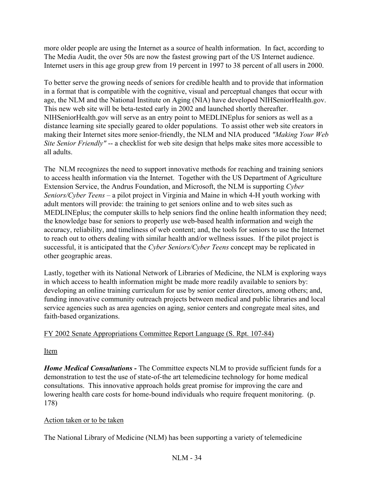more older people are using the Internet as a source of health information. In fact, according to The Media Audit, the over 50s are now the fastest growing part of the US Internet audience. Internet users in this age group grew from 19 percent in 1997 to 38 percent of all users in 2000.

To better serve the growing needs of seniors for credible health and to provide that information in a format that is compatible with the cognitive, visual and perceptual changes that occur with age, the NLM and the National Institute on Aging (NIA) have developed NIHSeniorHealth.gov. This new web site will be beta-tested early in 2002 and launched shortly thereafter. NIHSeniorHealth.gov will serve as an entry point to MEDLINEplus for seniors as well as a distance learning site specially geared to older populations. To assist other web site creators in making their Internet sites more senior-friendly, the NLM and NIA produced *"Making Your Web Site Senior Friendly"* -- a checklist for web site design that helps make sites more accessible to all adults.

The NLM recognizes the need to support innovative methods for reaching and training seniors to access health information via the Internet. Together with the US Department of Agriculture Extension Service, the Andrus Foundation, and Microsoft, the NLM is supporting *Cyber Seniors/Cyber Teens* – a pilot project in Virginia and Maine in which 4-H youth working with adult mentors will provide: the training to get seniors online and to web sites such as MEDLINEplus; the computer skills to help seniors find the online health information they need; the knowledge base for seniors to properly use web-based health information and weigh the accuracy, reliability, and timeliness of web content; and, the tools for seniors to use the Internet to reach out to others dealing with similar health and/or wellness issues. If the pilot project is successful, it is anticipated that the *Cyber Seniors/Cyber Teens* concept may be replicated in other geographic areas.

Lastly, together with its National Network of Libraries of Medicine, the NLM is exploring ways in which access to health information might be made more readily available to seniors by: developing an online training curriculum for use by senior center directors, among others; and, funding innovative community outreach projects between medical and public libraries and local service agencies such as area agencies on aging, senior centers and congregate meal sites, and faith-based organizations.

# FY 2002 Senate Appropriations Committee Report Language (S. Rpt. 107-84)

Item

*Home Medical Consultations -* The Committee expects NLM to provide sufficient funds for a demonstration to test the use of state-of-the art telemedicine technology for home medical consultations. This innovative approach holds great promise for improving the care and lowering health care costs for home-bound individuals who require frequent monitoring. (p. 178)

# Action taken or to be taken

The National Library of Medicine (NLM) has been supporting a variety of telemedicine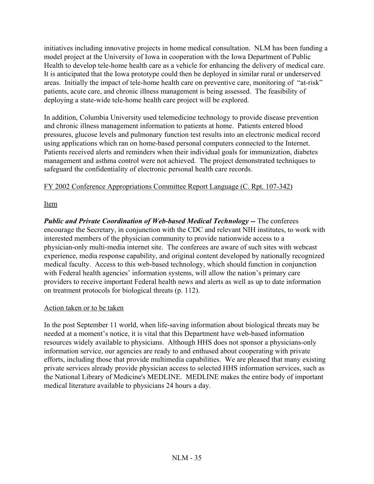initiatives including innovative projects in home medical consultation. NLM has been funding a model project at the University of Iowa in cooperation with the Iowa Department of Public Health to develop tele-home health care as a vehicle for enhancing the delivery of medical care. It is anticipated that the Iowa prototype could then be deployed in similar rural or underserved areas. Initially the impact of tele-home health care on preventive care, monitoring of "at-risk" patients, acute care, and chronic illness management is being assessed. The feasibility of deploying a state-wide tele-home health care project will be explored.

In addition, Columbia University used telemedicine technology to provide disease prevention and chronic illness management information to patients at home. Patients entered blood pressures, glucose levels and pulmonary function test results into an electronic medical record using applications which ran on home-based personal computers connected to the Internet. Patients received alerts and reminders when their individual goals for immunization, diabetes management and asthma control were not achieved. The project demonstrated techniques to safeguard the confidentiality of electronic personal health care records.

# FY 2002 Conference Appropriations Committee Report Language (C. Rpt. 107-342)

Item

*Public and Private Coordination of Web-based Medical Technology -- The conferees* encourage the Secretary, in conjunction with the CDC and relevant NIH institutes, to work with interested members of the physician community to provide nationwide access to a physician-only multi-media internet site. The conferees are aware of such sites with webcast experience, media response capability, and original content developed by nationally recognized medical faculty. Access to this web-based technology, which should function in conjunction with Federal health agencies' information systems, will allow the nation's primary care providers to receive important Federal health news and alerts as well as up to date information on treatment protocols for biological threats (p. 112).

## Action taken or to be taken

In the post September 11 world, when life-saving information about biological threats may be needed at a moment's notice, it is vital that this Department have web-based information resources widely available to physicians. Although HHS does not sponsor a physicians-only information service, our agencies are ready to and enthused about cooperating with private efforts, including those that provide multimedia capabilities. We are pleased that many existing private services already provide physician access to selected HHS information services, such as the National Library of Medicine's MEDLINE. MEDLINE makes the entire body of important medical literature available to physicians 24 hours a day.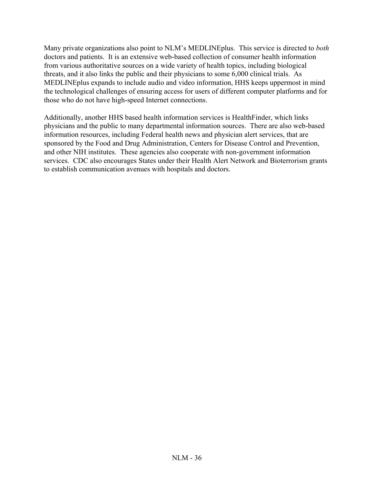Many private organizations also point to NLM's MEDLINEplus. This service is directed to *both* doctors and patients. It is an extensive web-based collection of consumer health information from various authoritative sources on a wide variety of health topics, including biological threats, and it also links the public and their physicians to some 6,000 clinical trials. As MEDLINEplus expands to include audio and video information, HHS keeps uppermost in mind the technological challenges of ensuring access for users of different computer platforms and for those who do not have high-speed Internet connections.

Additionally, another HHS based health information services is HealthFinder, which links physicians and the public to many departmental information sources. There are also web-based information resources, including Federal health news and physician alert services, that are sponsored by the Food and Drug Administration, Centers for Disease Control and Prevention, and other NIH institutes. These agencies also cooperate with non-government information services. CDC also encourages States under their Health Alert Network and Bioterrorism grants to establish communication avenues with hospitals and doctors.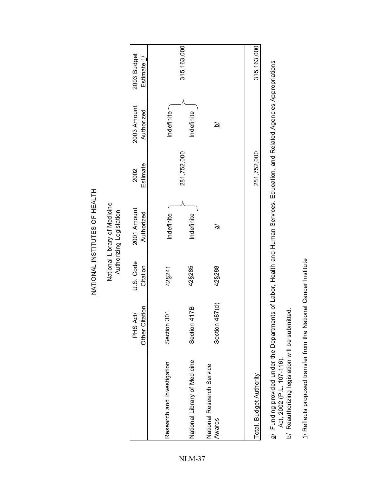315, 163, 000 315, 163, 000  $281,752,000$   $\qquad \qquad \searrow$ Total, Budget Authority 281,752,000 315,163,000 2003 Budget PHS Act/ U.S. Code 2002 2002 2002 2002 2003 Amount 2003 Amount 2003 Amount 2003 Budget 2003 Budget 20 Estimate 1/ Other Citation Citation Authorized Estimate Authorized Estimate 1/ 2003 Amount Authorized Indefinite **Indefinite** Research and Investigation 301 42§241 Indefinite  $\cap$ National Library of Medicine Section 417B 42§285 Indefinite | Indefinite  $\overline{\mathbf{a}}$  $\bar{a}$ l alwards Section 4879288 and alwards Section 487 and alwards and alwards  $\bar{a}$ 281,752,000 281,752,000 Estimate 2002 2001 Amount Authorizing Legislation Authorized Authorizing Legislation Indefinite Indefinite ले U.S. Code 42§288 42§241 Citation 42§285 Section 487(d) Other Citation Section 417B Section 301 PHS Act/ National Library of Medicine Research and Investigation National Research Service National Research Service Total, Budget Authority Awards

NATIONAL INSTITUTES OF HEALTH

NATIONAL INSTITUTES OF HEALTH

National Library of Medicine

National Library of Medicine

# Funding provided under the Departments of Labor, Health and Human Services, Education, and Related Agencies Appropriations a/ Funding provided under the Departments of Labor, Health and Human Services, Education, and Related Agencies Appropriations Act, 2002 (P.L. 107-116). Act, 2002 (P.L. 107-116).  $\vec{p}$

- **b/ Reauthorizing legislation will be submitted.** Reauthorizing legislation will be submitted.  $\overline{a}$
- 1/ Reflects proposed transfer from the National Cancer Institute 1/ Reflects proposed transfer from the National Cancer Institute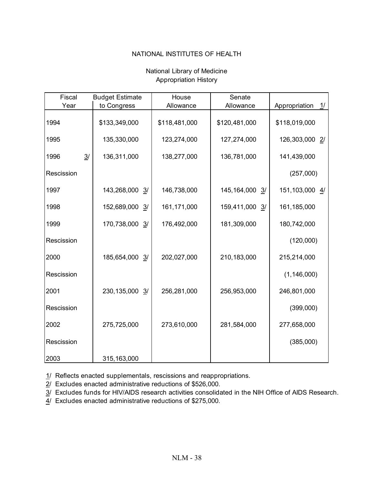| Fiscal     | <b>Budget Estimate</b>        | House         | Senate                         |                     |
|------------|-------------------------------|---------------|--------------------------------|---------------------|
| Year       | to Congress                   | Allowance     | Allowance                      | Appropriation<br>1/ |
| 1994       | \$133,349,000                 | \$118,481,000 | \$120,481,000                  | \$118,019,000       |
| 1995       | 135,330,000                   | 123,274,000   | 127,274,000                    | 126,303,000 2/      |
| 1996       | $\frac{3}{2}$<br>136,311,000  | 138,277,000   | 136,781,000                    | 141,439,000         |
| Rescission |                               |               |                                | (257,000)           |
| 1997       | 143,268,000<br>3/             | 146,738,000   | 145, 164, 000<br>$\frac{3}{2}$ | 151,103,000 4/      |
| 1998       | 152,689,000<br>$\overline{3}$ | 161,171,000   | 159,411,000<br>$\frac{3}{2}$   | 161,185,000         |
| 1999       | 170,738,000<br>3/             | 176,492,000   | 181,309,000                    | 180,742,000         |
| Rescission |                               |               |                                | (120,000)           |
| 2000       | 185,654,000<br>3/             | 202,027,000   | 210,183,000                    | 215,214,000         |
| Rescission |                               |               |                                | (1, 146, 000)       |
| 2001       | 230, 135, 000<br>3/           | 256,281,000   | 256,953,000                    | 246,801,000         |
| Rescission |                               |               |                                | (399,000)           |
| 2002       | 275,725,000                   | 273,610,000   | 281,584,000                    | 277,658,000         |
| Rescission |                               |               |                                | (385,000)           |
| 2003       | 315,163,000                   |               |                                |                     |

## National Library of Medicine Appropriation History

1/ Reflects enacted supplementals, rescissions and reappropriations.

2/ Excludes enacted administrative reductions of \$526,000.

3/ Excludes funds for HIV/AIDS research activities consolidated in the NIH Office of AIDS Research.

4/ Excludes enacted administrative reductions of \$275,000.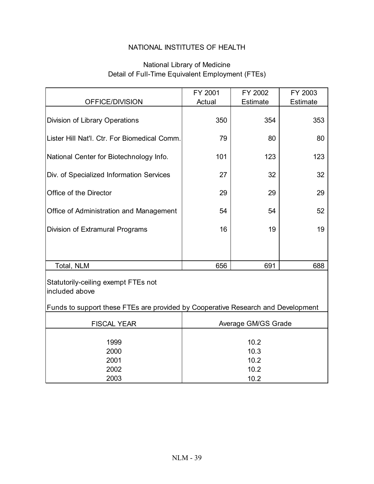# National Library of Medicine Detail of Full-Time Equivalent Employment (FTEs)

| OFFICE/DIVISION                                                                  | FY 2001<br>Actual            | FY 2002<br><b>Estimate</b> | FY 2003<br><b>Estimate</b> |  |  |
|----------------------------------------------------------------------------------|------------------------------|----------------------------|----------------------------|--|--|
|                                                                                  |                              |                            |                            |  |  |
| Division of Library Operations                                                   | 350                          | 354                        | 353                        |  |  |
| Lister Hill Nat'l. Ctr. For Biomedical Comm.                                     | 79                           | 80                         | 80                         |  |  |
| National Center for Biotechnology Info.                                          | 101                          | 123                        | 123                        |  |  |
| Div. of Specialized Information Services                                         | 27                           | 32                         | 32                         |  |  |
| Office of the Director                                                           | 29                           | 29                         | 29                         |  |  |
| Office of Administration and Management                                          | 54                           | 54                         | 52                         |  |  |
| Division of Extramural Programs                                                  | 16                           | 19                         | 19                         |  |  |
|                                                                                  |                              |                            |                            |  |  |
| Total, NLM                                                                       | 656                          | 691                        | 688                        |  |  |
| Statutorily-ceiling exempt FTEs not<br>included above                            |                              |                            |                            |  |  |
| Funds to support these FTEs are provided by Cooperative Research and Development |                              |                            |                            |  |  |
| <b>FISCAL YEAR</b>                                                               | Average GM/GS Grade          |                            |                            |  |  |
| 1999<br>2000<br>2001<br>2002                                                     | 10.2<br>10.3<br>10.2<br>10.2 |                            |                            |  |  |
| 2003                                                                             | 10.2                         |                            |                            |  |  |